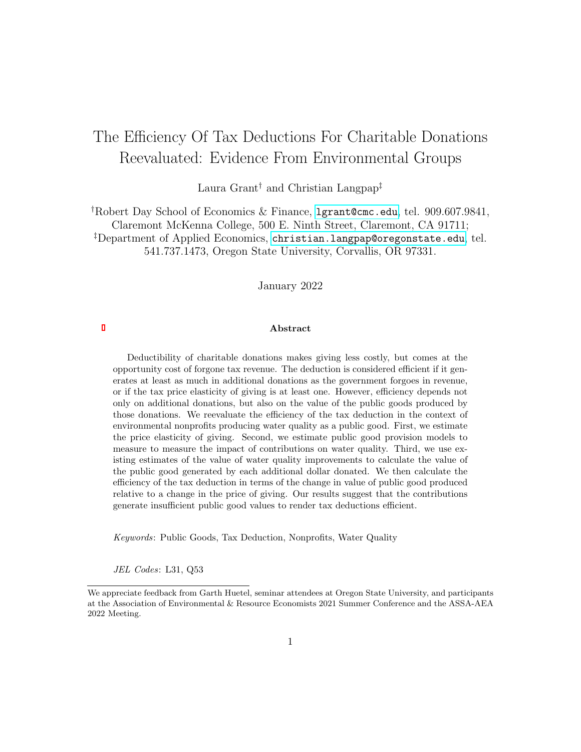# The Efficiency Of Tax Deductions For Charitable Donations Reevaluated: Evidence From Environmental Groups

Laura Grant† and Christian Langpap‡

†Robert Day School of Economics & Finance, <lgrant@cmc.edu>, tel. 909.607.9841, Claremont McKenna College, 500 E. Ninth Street, Claremont, CA 91711; ‡Department of Applied Economics, <christian.langpap@oregonstate.edu>, tel. 541.737.1473, Oregon State University, Corvallis, OR 97331.

January 2022

#### Abstract

Deductibility of charitable donations makes giving less costly, but comes at the opportunity cost of forgone tax revenue. The deduction is considered efficient if it generates at least as much in additional donations as the government forgoes in revenue, or if the tax price elasticity of giving is at least one. However, efficiency depends not only on additional donations, but also on the value of the public goods produced by those donations. We reevaluate the efficiency of the tax deduction in the context of environmental nonprofits producing water quality as a public good. First, we estimate the price elasticity of giving. Second, we estimate public good provision models to measure to measure the impact of contributions on water quality. Third, we use existing estimates of the value of water quality improvements to calculate the value of the public good generated by each additional dollar donated. We then calculate the efficiency of the tax deduction in terms of the change in value of public good produced relative to a change in the price of giving. Our results suggest that the contributions generate insufficient public good values to render tax deductions efficient.

Keywords: Public Goods, Tax Deduction, Nonprofits, Water Quality

JEL Codes: L31, Q53

We appreciate feedback from Garth Huetel, seminar attendees at Oregon State University, and participants at the Association of Environmental & Resource Economists 2021 Summer Conference and the ASSA-AEA 2022 Meeting.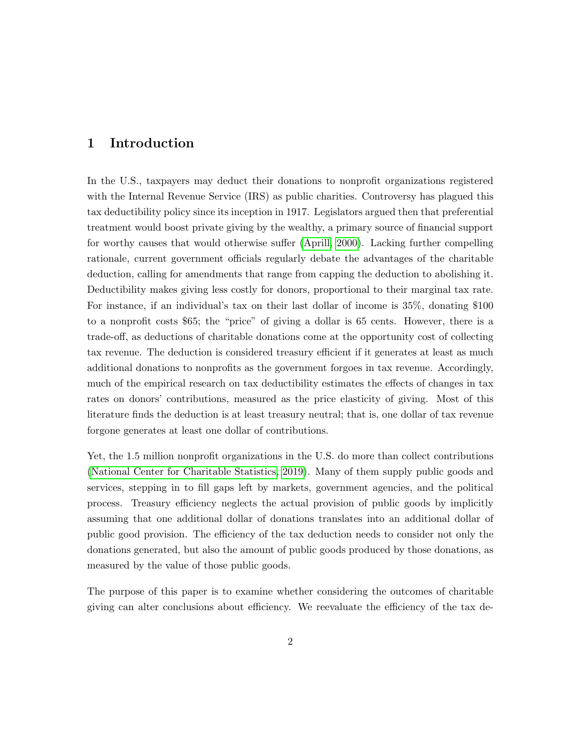### 1 Introduction

In the U.S., taxpayers may deduct their donations to nonprofit organizations registered with the Internal Revenue Service (IRS) as public charities. Controversy has plagued this tax deductibility policy since its inception in 1917. Legislators argued then that preferential treatment would boost private giving by the wealthy, a primary source of financial support for worthy causes that would otherwise suffer [\(Aprill, 2000\)](#page-26-0). Lacking further compelling rationale, current government officials regularly debate the advantages of the charitable deduction, calling for amendments that range from capping the deduction to abolishing it. Deductibility makes giving less costly for donors, proportional to their marginal tax rate. For instance, if an individual's tax on their last dollar of income is 35%, donating \$100 to a nonprofit costs \$65; the "price" of giving a dollar is 65 cents. However, there is a trade-off, as deductions of charitable donations come at the opportunity cost of collecting tax revenue. The deduction is considered treasury efficient if it generates at least as much additional donations to nonprofits as the government forgoes in tax revenue. Accordingly, much of the empirical research on tax deductibility estimates the effects of changes in tax rates on donors' contributions, measured as the price elasticity of giving. Most of this literature finds the deduction is at least treasury neutral; that is, one dollar of tax revenue forgone generates at least one dollar of contributions.

Yet, the 1.5 million nonprofit organizations in the U.S. do more than collect contributions [\(National Center for Charitable Statistics, 2019\)](#page-28-0). Many of them supply public goods and services, stepping in to fill gaps left by markets, government agencies, and the political process. Treasury efficiency neglects the actual provision of public goods by implicitly assuming that one additional dollar of donations translates into an additional dollar of public good provision. The efficiency of the tax deduction needs to consider not only the donations generated, but also the amount of public goods produced by those donations, as measured by the value of those public goods.

The purpose of this paper is to examine whether considering the outcomes of charitable giving can alter conclusions about efficiency. We reevaluate the efficiency of the tax de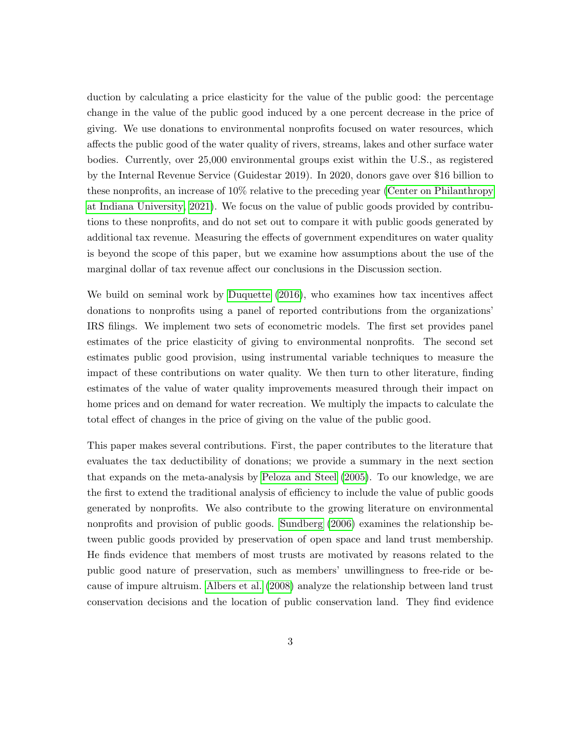duction by calculating a price elasticity for the value of the public good: the percentage change in the value of the public good induced by a one percent decrease in the price of giving. We use donations to environmental nonprofits focused on water resources, which affects the public good of the water quality of rivers, streams, lakes and other surface water bodies. Currently, over 25,000 environmental groups exist within the U.S., as registered by the Internal Revenue Service (Guidestar 2019). In 2020, donors gave over \$16 billion to these nonprofits, an increase of 10% relative to the preceding year [\(Center on Philanthropy](#page-27-0) [at Indiana University, 2021\)](#page-27-0). We focus on the value of public goods provided by contributions to these nonprofits, and do not set out to compare it with public goods generated by additional tax revenue. Measuring the effects of government expenditures on water quality is beyond the scope of this paper, but we examine how assumptions about the use of the marginal dollar of tax revenue affect our conclusions in the Discussion section.

We build on seminal work by [Duquette \(2016\)](#page-27-1), who examines how tax incentives affect donations to nonprofits using a panel of reported contributions from the organizations' IRS filings. We implement two sets of econometric models. The first set provides panel estimates of the price elasticity of giving to environmental nonprofits. The second set estimates public good provision, using instrumental variable techniques to measure the impact of these contributions on water quality. We then turn to other literature, finding estimates of the value of water quality improvements measured through their impact on home prices and on demand for water recreation. We multiply the impacts to calculate the total effect of changes in the price of giving on the value of the public good.

This paper makes several contributions. First, the paper contributes to the literature that evaluates the tax deductibility of donations; we provide a summary in the next section that expands on the meta-analysis by [Peloza and Steel \(2005\)](#page-28-1). To our knowledge, we are the first to extend the traditional analysis of efficiency to include the value of public goods generated by nonprofits. We also contribute to the growing literature on environmental nonprofits and provision of public goods. [Sundberg \(2006\)](#page-29-0) examines the relationship between public goods provided by preservation of open space and land trust membership. He finds evidence that members of most trusts are motivated by reasons related to the public good nature of preservation, such as members' unwillingness to free-ride or because of impure altruism. [Albers et al. \(2008\)](#page-26-1) analyze the relationship between land trust conservation decisions and the location of public conservation land. They find evidence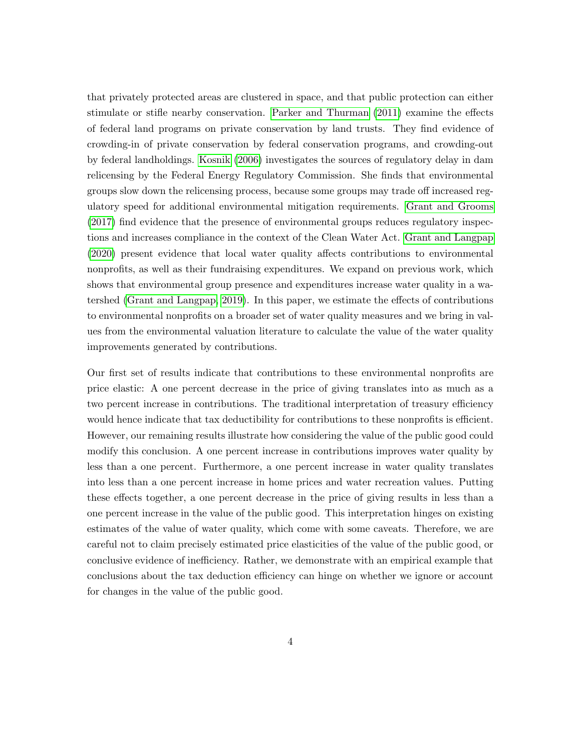that privately protected areas are clustered in space, and that public protection can either stimulate or stifle nearby conservation. [Parker and Thurman \(2011\)](#page-28-2) examine the effects of federal land programs on private conservation by land trusts. They find evidence of crowding-in of private conservation by federal conservation programs, and crowding-out by federal landholdings. [Kosnik \(2006\)](#page-28-3) investigates the sources of regulatory delay in dam relicensing by the Federal Energy Regulatory Commission. She finds that environmental groups slow down the relicensing process, because some groups may trade off increased regulatory speed for additional environmental mitigation requirements. [Grant and Grooms](#page-27-2) [\(2017\)](#page-27-2) find evidence that the presence of environmental groups reduces regulatory inspections and increases compliance in the context of the Clean Water Act. [Grant and Langpap](#page-27-3) [\(2020\)](#page-27-3) present evidence that local water quality affects contributions to environmental nonprofits, as well as their fundraising expenditures. We expand on previous work, which shows that environmental group presence and expenditures increase water quality in a watershed [\(Grant and Langpap, 2019\)](#page-27-4). In this paper, we estimate the effects of contributions to environmental nonprofits on a broader set of water quality measures and we bring in values from the environmental valuation literature to calculate the value of the water quality improvements generated by contributions.

Our first set of results indicate that contributions to these environmental nonprofits are price elastic: A one percent decrease in the price of giving translates into as much as a two percent increase in contributions. The traditional interpretation of treasury efficiency would hence indicate that tax deductibility for contributions to these nonprofits is efficient. However, our remaining results illustrate how considering the value of the public good could modify this conclusion. A one percent increase in contributions improves water quality by less than a one percent. Furthermore, a one percent increase in water quality translates into less than a one percent increase in home prices and water recreation values. Putting these effects together, a one percent decrease in the price of giving results in less than a one percent increase in the value of the public good. This interpretation hinges on existing estimates of the value of water quality, which come with some caveats. Therefore, we are careful not to claim precisely estimated price elasticities of the value of the public good, or conclusive evidence of inefficiency. Rather, we demonstrate with an empirical example that conclusions about the tax deduction efficiency can hinge on whether we ignore or account for changes in the value of the public good.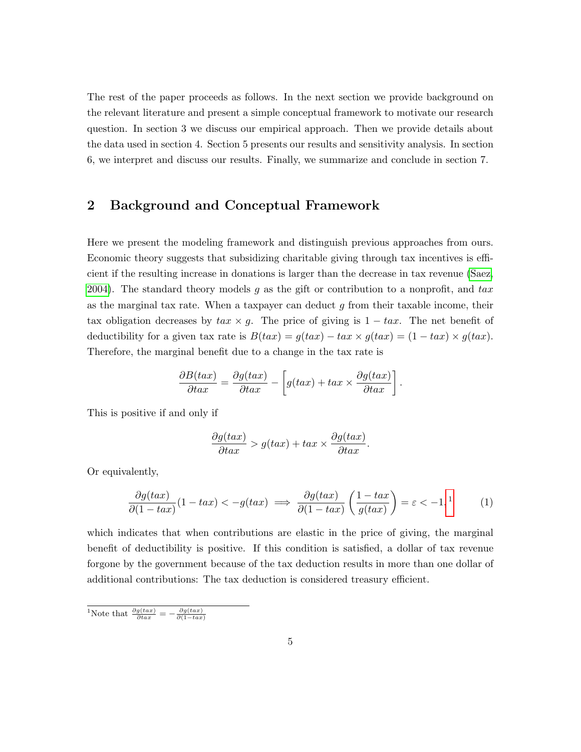The rest of the paper proceeds as follows. In the next section we provide background on the relevant literature and present a simple conceptual framework to motivate our research question. In section 3 we discuss our empirical approach. Then we provide details about the data used in section 4. Section 5 presents our results and sensitivity analysis. In section 6, we interpret and discuss our results. Finally, we summarize and conclude in section 7.

## 2 Background and Conceptual Framework

Here we present the modeling framework and distinguish previous approaches from ours. Economic theory suggests that subsidizing charitable giving through tax incentives is efficient if the resulting increase in donations is larger than the decrease in tax revenue [\(Saez,](#page-29-1) [2004\)](#page-29-1). The standard theory models g as the gift or contribution to a nonprofit, and  $tax$ as the marginal tax rate. When a taxpayer can deduct  $g$  from their taxable income, their tax obligation decreases by  $tax \times g$ . The price of giving is  $1 - tax$ . The net benefit of deductibility for a given tax rate is  $B(tax) = g(tax) - tax \times g(tax) = (1 - tax) \times g(tax)$ . Therefore, the marginal benefit due to a change in the tax rate is

$$
\frac{\partial B(tax)}{\partial tax} = \frac{\partial g(tax)}{\partial tax} - \left[ g(tax) + tax \times \frac{\partial g(tax)}{\partial tax} \right].
$$

This is positive if and only if

$$
\frac{\partial g(tax)}{\partial tax} > g(tax) + tax \times \frac{\partial g(tax)}{\partial tax}.
$$

Or equivalently,

<span id="page-4-1"></span>
$$
\frac{\partial g(tax)}{\partial (1-tax)}(1-tax) < -g(tax) \implies \frac{\partial g(tax)}{\partial (1-tax)}\left(\frac{1-tax}{g(tax)}\right) = \varepsilon < -1, \tag{1}
$$

which indicates that when contributions are elastic in the price of giving, the marginal benefit of deductibility is positive. If this condition is satisfied, a dollar of tax revenue forgone by the government because of the tax deduction results in more than one dollar of additional contributions: The tax deduction is considered treasury efficient.

<span id="page-4-0"></span><sup>1</sup>Note that  $\frac{\partial g(tax)}{\partial ta x} = -\frac{\partial g(tax)}{\partial (1-tax)}$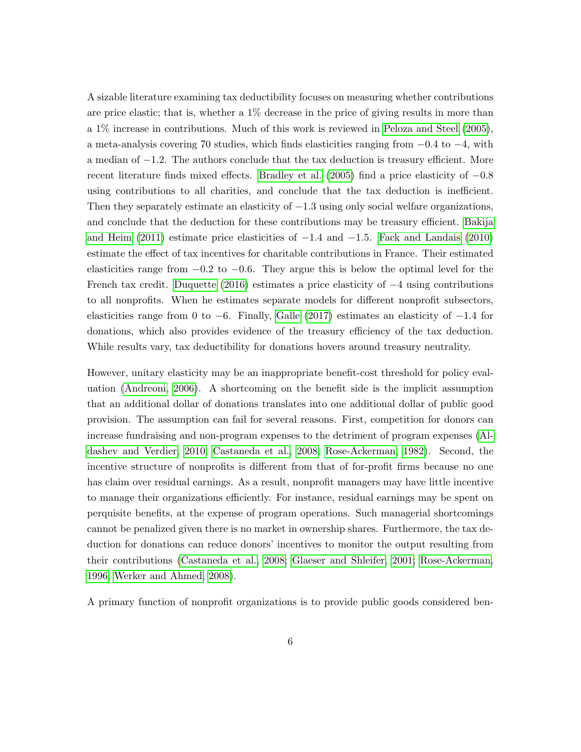A sizable literature examining tax deductibility focuses on measuring whether contributions are price elastic; that is, whether a 1% decrease in the price of giving results in more than a 1% increase in contributions. Much of this work is reviewed in [Peloza and Steel \(2005\)](#page-28-1), a meta-analysis covering 70 studies, which finds elasticities ranging from  $-0.4$  to  $-4$ , with a median of −1.2. The authors conclude that the tax deduction is treasury efficient. More recent literature finds mixed effects. [Bradley et al. \(2005\)](#page-26-2) find a price elasticity of −0.8 using contributions to all charities, and conclude that the tax deduction is inefficient. Then they separately estimate an elasticity of  $-1.3$  using only social welfare organizations, and conclude that the deduction for these contributions may be treasury efficient. [Bakija](#page-26-3) [and Heim \(2011\)](#page-26-3) estimate price elasticities of −1.4 and −1.5. [Fack and Landais \(2010\)](#page-27-5) estimate the effect of tax incentives for charitable contributions in France. Their estimated elasticities range from  $-0.2$  to  $-0.6$ . They argue this is below the optimal level for the French tax credit. [Duquette \(2016\)](#page-27-1) estimates a price elasticity of  $-4$  using contributions to all nonprofits. When he estimates separate models for different nonprofit subsectors, elasticities range from 0 to  $-6$ . Finally, [Galle \(2017\)](#page-27-6) estimates an elasticity of  $-1.4$  for donations, which also provides evidence of the treasury efficiency of the tax deduction. While results vary, tax deductibility for donations hovers around treasury neutrality.

However, unitary elasticity may be an inappropriate benefit-cost threshold for policy evaluation [\(Andreoni, 2006\)](#page-26-4). A shortcoming on the benefit side is the implicit assumption that an additional dollar of donations translates into one additional dollar of public good provision. The assumption can fail for several reasons. First, competition for donors can increase fundraising and non-program expenses to the detriment of program expenses [\(Al](#page-26-5)[dashev and Verdier, 2010;](#page-26-5) [Castaneda et al., 2008;](#page-26-6) [Rose-Ackerman, 1982\)](#page-29-2). Second, the incentive structure of nonprofits is different from that of for-profit firms because no one has claim over residual earnings. As a result, nonprofit managers may have little incentive to manage their organizations efficiently. For instance, residual earnings may be spent on perquisite benefits, at the expense of program operations. Such managerial shortcomings cannot be penalized given there is no market in ownership shares. Furthermore, the tax deduction for donations can reduce donors' incentives to monitor the output resulting from their contributions [\(Castaneda et al., 2008;](#page-26-6) [Glaeser and Shleifer, 2001;](#page-27-7) [Rose-Ackerman,](#page-29-3) [1996;](#page-29-3) [Werker and Ahmed, 2008\)](#page-29-4).

A primary function of nonprofit organizations is to provide public goods considered ben-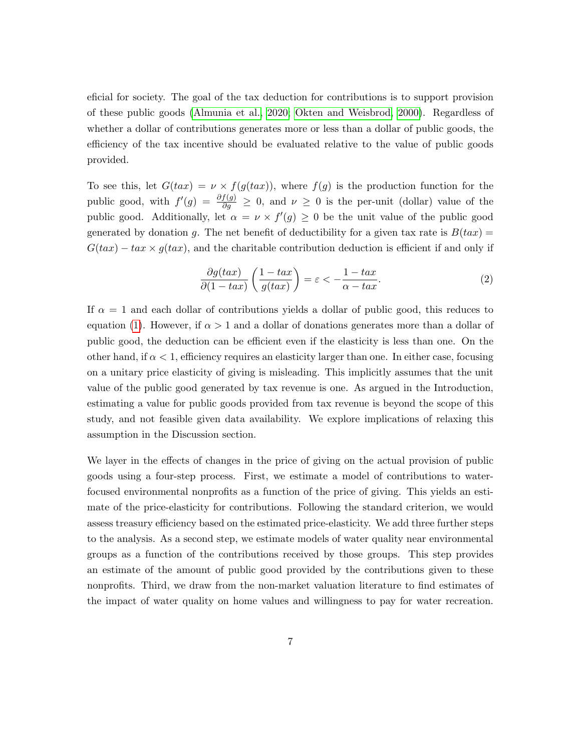eficial for society. The goal of the tax deduction for contributions is to support provision of these public goods [\(Almunia et al., 2020;](#page-26-7) [Okten and Weisbrod, 2000\)](#page-28-4). Regardless of whether a dollar of contributions generates more or less than a dollar of public goods, the efficiency of the tax incentive should be evaluated relative to the value of public goods provided.

To see this, let  $G(tax) = \nu \times f(g(tax))$ , where  $f(g)$  is the production function for the public good, with  $f'(g) = \frac{\partial f(g)}{\partial g} \geq 0$ , and  $\nu \geq 0$  is the per-unit (dollar) value of the public good. Additionally, let  $\alpha = \nu \times f'(g) \geq 0$  be the unit value of the public good generated by donation g. The net benefit of deductibility for a given tax rate is  $B(tax) =$  $G(tax) - tax \times g(tax)$ , and the charitable contribution deduction is efficient if and only if

<span id="page-6-0"></span>
$$
\frac{\partial g(tax)}{\partial (1-tax)} \left( \frac{1-tax}{g(tax)} \right) = \varepsilon < -\frac{1-tax}{\alpha-tax}.\tag{2}
$$

If  $\alpha = 1$  and each dollar of contributions yields a dollar of public good, this reduces to equation [\(1\)](#page-4-1). However, if  $\alpha > 1$  and a dollar of donations generates more than a dollar of public good, the deduction can be efficient even if the elasticity is less than one. On the other hand, if  $\alpha < 1$ , efficiency requires an elasticity larger than one. In either case, focusing on a unitary price elasticity of giving is misleading. This implicitly assumes that the unit value of the public good generated by tax revenue is one. As argued in the Introduction, estimating a value for public goods provided from tax revenue is beyond the scope of this study, and not feasible given data availability. We explore implications of relaxing this assumption in the Discussion section.

We layer in the effects of changes in the price of giving on the actual provision of public goods using a four-step process. First, we estimate a model of contributions to waterfocused environmental nonprofits as a function of the price of giving. This yields an estimate of the price-elasticity for contributions. Following the standard criterion, we would assess treasury efficiency based on the estimated price-elasticity. We add three further steps to the analysis. As a second step, we estimate models of water quality near environmental groups as a function of the contributions received by those groups. This step provides an estimate of the amount of public good provided by the contributions given to these nonprofits. Third, we draw from the non-market valuation literature to find estimates of the impact of water quality on home values and willingness to pay for water recreation.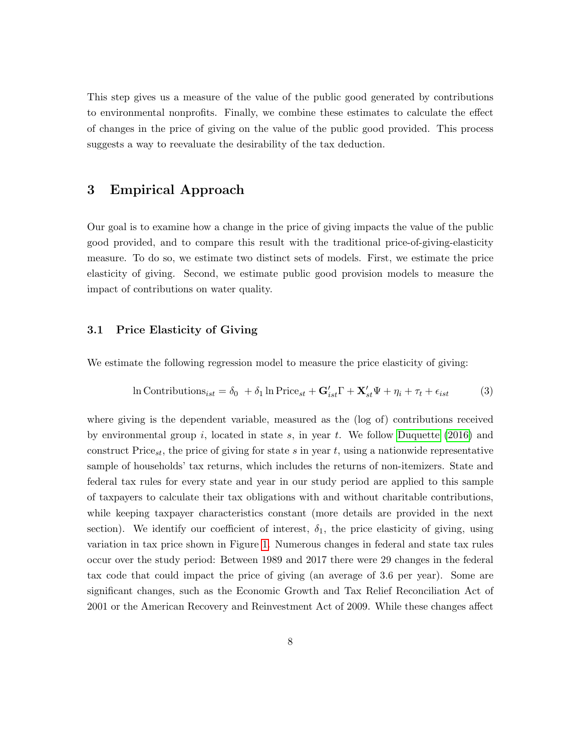This step gives us a measure of the value of the public good generated by contributions to environmental nonprofits. Finally, we combine these estimates to calculate the effect of changes in the price of giving on the value of the public good provided. This process suggests a way to reevaluate the desirability of the tax deduction.

## 3 Empirical Approach

Our goal is to examine how a change in the price of giving impacts the value of the public good provided, and to compare this result with the traditional price-of-giving-elasticity measure. To do so, we estimate two distinct sets of models. First, we estimate the price elasticity of giving. Second, we estimate public good provision models to measure the impact of contributions on water quality.

#### 3.1 Price Elasticity of Giving

We estimate the following regression model to measure the price elasticity of giving:

<span id="page-7-0"></span>
$$
\ln\text{Contributions}_{ist} = \delta_0 + \delta_1 \ln \text{Price}_{st} + \mathbf{G}'_{ist} \Gamma + \mathbf{X}'_{st} \Psi + \eta_i + \tau_t + \epsilon_{ist} \tag{3}
$$

where giving is the dependent variable, measured as the (log of) contributions received by environmental group i, located in state s, in year t. We follow Duquette  $(2016)$  and construct Price<sub>st</sub>, the price of giving for state s in year t, using a nationwide representative sample of households' tax returns, which includes the returns of non-itemizers. State and federal tax rules for every state and year in our study period are applied to this sample of taxpayers to calculate their tax obligations with and without charitable contributions, while keeping taxpayer characteristics constant (more details are provided in the next section). We identify our coefficient of interest,  $\delta_1$ , the price elasticity of giving, using variation in tax price shown in Figure [1.](#page-8-0) Numerous changes in federal and state tax rules occur over the study period: Between 1989 and 2017 there were 29 changes in the federal tax code that could impact the price of giving (an average of 3.6 per year). Some are significant changes, such as the Economic Growth and Tax Relief Reconciliation Act of 2001 or the American Recovery and Reinvestment Act of 2009. While these changes affect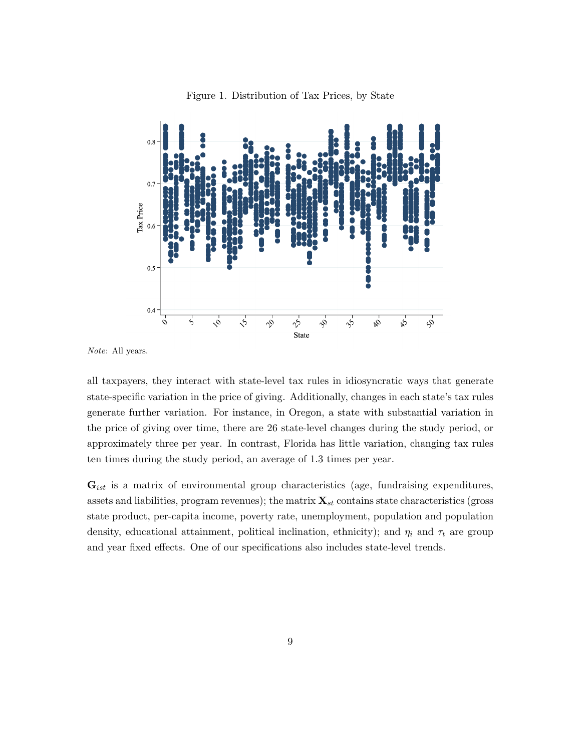<span id="page-8-0"></span>

Figure 1. Distribution of Tax Prices, by State

Note: All years.

all taxpayers, they interact with state-level tax rules in idiosyncratic ways that generate state-specific variation in the price of giving. Additionally, changes in each state's tax rules generate further variation. For instance, in Oregon, a state with substantial variation in the price of giving over time, there are 26 state-level changes during the study period, or approximately three per year. In contrast, Florida has little variation, changing tax rules ten times during the study period, an average of 1.3 times per year.

 $\mathbf{G}_{ist}$  is a matrix of environmental group characteristics (age, fundraising expenditures, assets and liabilities, program revenues); the matrix  $\mathbf{X}_{st}$  contains state characteristics (gross state product, per-capita income, poverty rate, unemployment, population and population density, educational attainment, political inclination, ethnicity); and  $\eta_i$  and  $\tau_t$  are group and year fixed effects. One of our specifications also includes state-level trends.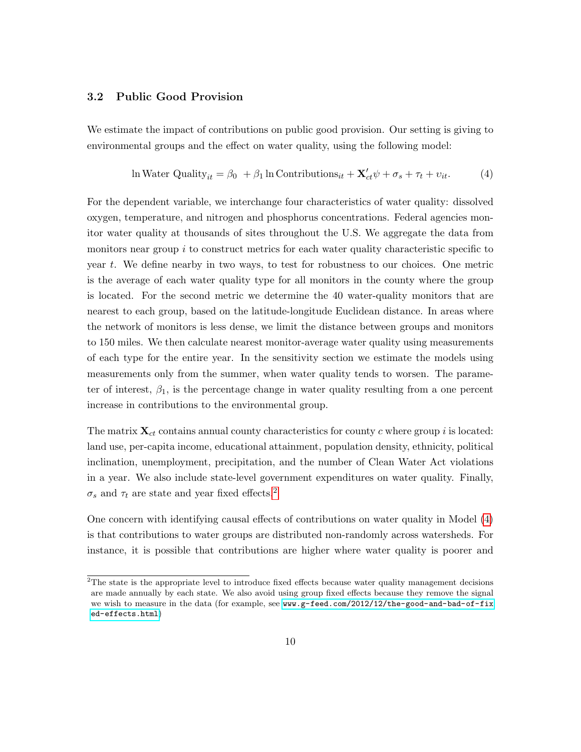#### 3.2 Public Good Provision

We estimate the impact of contributions on public good provision. Our setting is giving to environmental groups and the effect on water quality, using the following model:

<span id="page-9-1"></span>
$$
\ln \text{Water Quality}_{it} = \beta_0 + \beta_1 \ln \text{Contributions}_{it} + \mathbf{X}_{ct}' \psi + \sigma_s + \tau_t + v_{it}. \tag{4}
$$

For the dependent variable, we interchange four characteristics of water quality: dissolved oxygen, temperature, and nitrogen and phosphorus concentrations. Federal agencies monitor water quality at thousands of sites throughout the U.S. We aggregate the data from monitors near group  $i$  to construct metrics for each water quality characteristic specific to year t. We define nearby in two ways, to test for robustness to our choices. One metric is the average of each water quality type for all monitors in the county where the group is located. For the second metric we determine the 40 water-quality monitors that are nearest to each group, based on the latitude-longitude Euclidean distance. In areas where the network of monitors is less dense, we limit the distance between groups and monitors to 150 miles. We then calculate nearest monitor-average water quality using measurements of each type for the entire year. In the sensitivity section we estimate the models using measurements only from the summer, when water quality tends to worsen. The parameter of interest,  $\beta_1$ , is the percentage change in water quality resulting from a one percent increase in contributions to the environmental group.

The matrix  $\mathbf{X}_{ct}$  contains annual county characteristics for county c where group i is located: land use, per-capita income, educational attainment, population density, ethnicity, political inclination, unemployment, precipitation, and the number of Clean Water Act violations in a year. We also include state-level government expenditures on water quality. Finally,  $\sigma_s$  and  $\tau_t$  are state and year fixed effects.<sup>[2](#page-9-0)</sup>

One concern with identifying causal effects of contributions on water quality in Model [\(4\)](#page-9-1) is that contributions to water groups are distributed non-randomly across watersheds. For instance, it is possible that contributions are higher where water quality is poorer and

<span id="page-9-0"></span><sup>&</sup>lt;sup>2</sup>The state is the appropriate level to introduce fixed effects because water quality management decisions are made annually by each state. We also avoid using group fixed effects because they remove the signal we wish to measure in the data (for example, see [www.g-feed.com/2012/12/the-good-and-bad-of-fix](www.g-feed.com/2012/12/the-good-and-bad-of-fixed-effects.html) [ed-effects.html](www.g-feed.com/2012/12/the-good-and-bad-of-fixed-effects.html))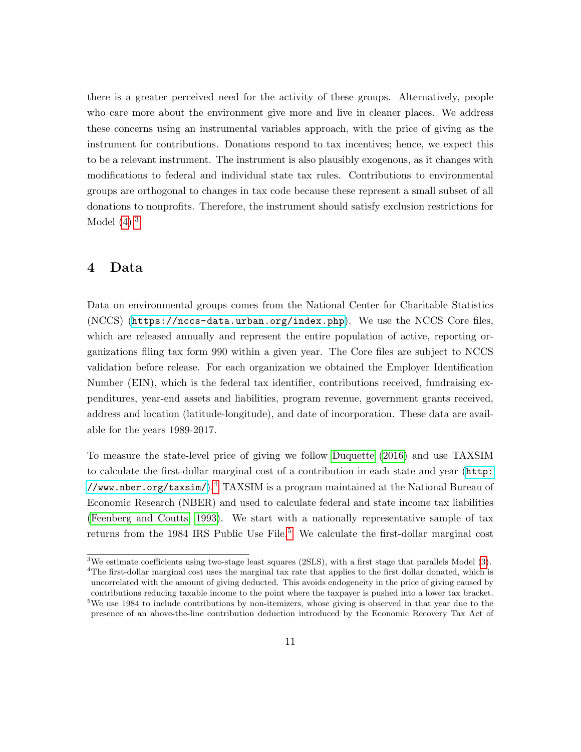there is a greater perceived need for the activity of these groups. Alternatively, people who care more about the environment give more and live in cleaner places. We address these concerns using an instrumental variables approach, with the price of giving as the instrument for contributions. Donations respond to tax incentives; hence, we expect this to be a relevant instrument. The instrument is also plausibly exogenous, as it changes with modifications to federal and individual state tax rules. Contributions to environmental groups are orthogonal to changes in tax code because these represent a small subset of all donations to nonprofits. Therefore, the instrument should satisfy exclusion restrictions for Model  $(4).<sup>3</sup>$  $(4).<sup>3</sup>$  $(4).<sup>3</sup>$ 

## 4 Data

Data on environmental groups comes from the National Center for Charitable Statistics (NCCS) (<https://nccs-data.urban.org/index.php>). We use the NCCS Core files, which are released annually and represent the entire population of active, reporting organizations filing tax form 990 within a given year. The Core files are subject to NCCS validation before release. For each organization we obtained the Employer Identification Number (EIN), which is the federal tax identifier, contributions received, fundraising expenditures, year-end assets and liabilities, program revenue, government grants received, address and location (latitude-longitude), and date of incorporation. These data are available for the years 1989-2017.

To measure the state-level price of giving we follow [Duquette \(2016\)](#page-27-1) and use TAXSIM to calculate the first-dollar marginal cost of a contribution in each state and year ([http:](http://www.nber.org/taxsim/) [//www.nber.org/taxsim/](http://www.nber.org/taxsim/) $)$ .<sup>[4](#page-10-1)</sup> TAXSIM is a program maintained at the National Bureau of Economic Research (NBER) and used to calculate federal and state income tax liabilities [\(Feenberg and Coutts, 1993\)](#page-27-8). We start with a nationally representative sample of tax returns from the 1984 IRS Public Use  $\text{File}$ <sup>[5](#page-10-2)</sup> We calculate the first-dollar marginal cost

<span id="page-10-2"></span><span id="page-10-1"></span><span id="page-10-0"></span><sup>&</sup>lt;sup>3</sup>We estimate coefficients using two-stage least squares (2SLS), with a first stage that parallels Model [\(3\)](#page-7-0). <sup>4</sup>The first-dollar marginal cost uses the marginal tax rate that applies to the first dollar donated, which is uncorrelated with the amount of giving deducted. This avoids endogeneity in the price of giving caused by contributions reducing taxable income to the point where the taxpayer is pushed into a lower tax bracket. <sup>5</sup>We use 1984 to include contributions by non-itemizers, whose giving is observed in that year due to the presence of an above-the-line contribution deduction introduced by the Economic Recovery Tax Act of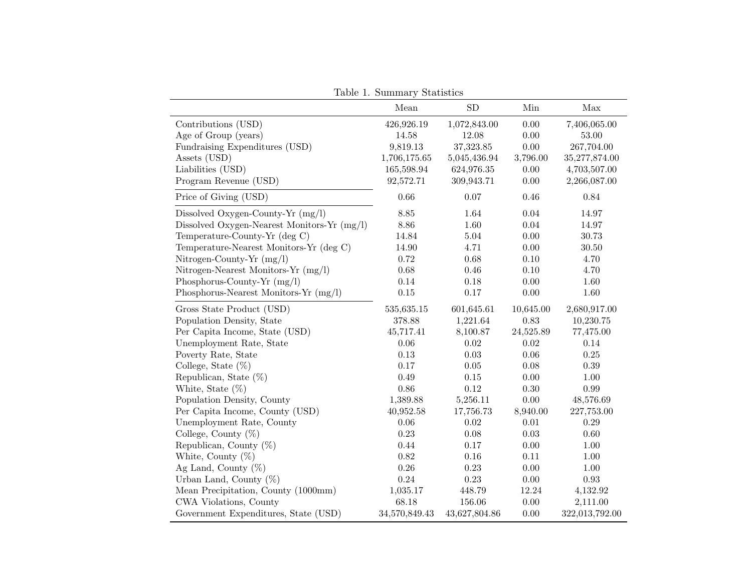<span id="page-11-0"></span>

|                                             | Mean          | ${\rm SD}$    | Min       | Max            |
|---------------------------------------------|---------------|---------------|-----------|----------------|
| Contributions (USD)                         | 426,926.19    | 1,072,843.00  | 0.00      | 7,406,065.00   |
| Age of Group (years)                        | 14.58         | 12.08         | 0.00      | 53.00          |
| Fundraising Expenditures (USD)              | 9,819.13      | 37,323.85     | $0.00\,$  | 267,704.00     |
| Assets (USD)                                | 1,706,175.65  | 5,045,436.94  | 3,796.00  | 35,277,874.00  |
| Liabilities (USD)                           | 165,598.94    | 624,976.35    | $0.00\,$  | 4,703,507.00   |
| Program Revenue (USD)                       | 92,572.71     | 309,943.71    | 0.00      | 2,266,087.00   |
| Price of Giving (USD)                       | 0.66          | 0.07          | $0.46\,$  | $0.84\,$       |
| Dissolved Oxygen-County-Yr $(mg/l)$         | 8.85          | 1.64          | $0.04\,$  | $14.97\,$      |
| Dissolved Oxygen-Nearest Monitors-Yr (mg/l) | $8.86\,$      | 1.60          | $0.04\,$  | 14.97          |
| Temperature-County-Yr (deg C)               | 14.84         | 5.04          | $0.00\,$  | 30.73          |
| Temperature-Nearest Monitors-Yr (deg C)     | 14.90         | 4.71          | 0.00      | 30.50          |
| Nitrogen-County-Yr (mg/l)                   | 0.72          | 0.68          | $0.10\,$  | 4.70           |
| Nitrogen-Nearest Monitors-Yr (mg/l)         | 0.68          | $0.46\,$      | $0.10\,$  | 4.70           |
| Phosphorus-County-Yr (mg/l)                 | 0.14          | 0.18          | 0.00      | 1.60           |
| Phosphorus-Nearest Monitors-Yr (mg/l)       | 0.15          | 0.17          | 0.00      | 1.60           |
| Gross State Product (USD)                   | 535,635.15    | 601,645.61    | 10,645.00 | 2,680,917.00   |
| Population Density, State                   | 378.88        | 1,221.64      | 0.83      | 10,230.75      |
| Per Capita Income, State (USD)              | 45,717.41     | 8,100.87      | 24,525.89 | 77,475.00      |
| Unemployment Rate, State                    | 0.06          | 0.02          | 0.02      | 0.14           |
| Poverty Rate, State                         | 0.13          | 0.03          | 0.06      | $0.25\,$       |
| College, State $(\%)$                       | 0.17          | 0.05          | 0.08      | $0.39\,$       |
| Republican, State $(\%)$                    | 0.49          | $0.15\,$      | $0.00\,$  | $1.00\,$       |
| White, State $(\%)$                         | 0.86          | 0.12          | $0.30\,$  | $0.99\,$       |
| Population Density, County                  | 1,389.88      | 5,256.11      | 0.00      | 48,576.69      |
| Per Capita Income, County (USD)             | 40,952.58     | 17,756.73     | 8,940.00  | 227,753.00     |
| Unemployment Rate, County                   | 0.06          | 0.02          | $0.01\,$  | $0.29\,$       |
| College, County $(\%)$                      | 0.23          | 0.08          | 0.03      | $0.60\,$       |
| Republican, County $(\%)$                   | 0.44          | 0.17          | 0.00      | 1.00           |
| White, County $(\%)$                        | 0.82          | 0.16          | 0.11      | 1.00           |
| Ag Land, County $(\%)$                      | $0.26\,$      | 0.23          | $0.00\,$  | $1.00\,$       |
| Urban Land, County $(\%)$                   | 0.24          | $0.23\,$      | 0.00      | $\rm 0.93$     |
| Mean Precipitation, County (1000mm)         | 1,035.17      | 448.79        | 12.24     | 4,132.92       |
| CWA Violations, County                      | 68.18         | 156.06        | $0.00\,$  | 2,111.00       |
| Government Expenditures, State (USD)        | 34,570,849.43 | 43,627,804.86 | $0.00\,$  | 322,013,792.00 |

Table 1. Summary Statistics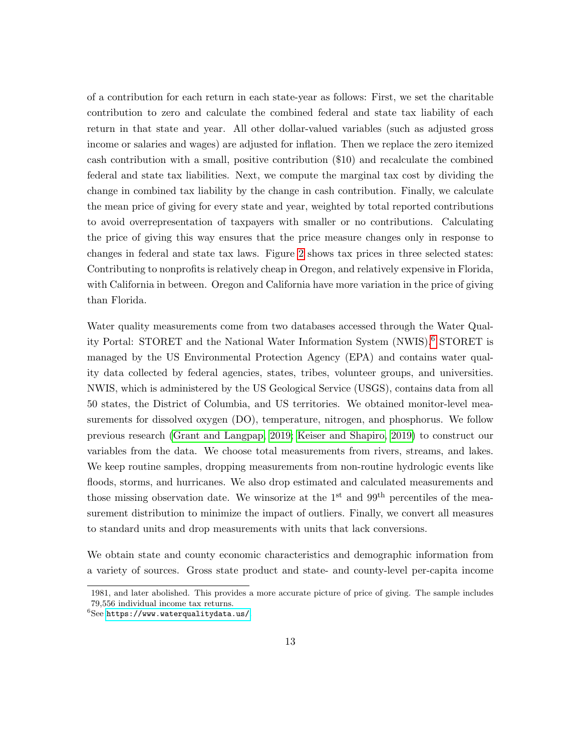of a contribution for each return in each state-year as follows: First, we set the charitable contribution to zero and calculate the combined federal and state tax liability of each return in that state and year. All other dollar-valued variables (such as adjusted gross income or salaries and wages) are adjusted for inflation. Then we replace the zero itemized cash contribution with a small, positive contribution (\$10) and recalculate the combined federal and state tax liabilities. Next, we compute the marginal tax cost by dividing the change in combined tax liability by the change in cash contribution. Finally, we calculate the mean price of giving for every state and year, weighted by total reported contributions to avoid overrepresentation of taxpayers with smaller or no contributions. Calculating the price of giving this way ensures that the price measure changes only in response to changes in federal and state tax laws. Figure [2](#page-13-0) shows tax prices in three selected states: Contributing to nonprofits is relatively cheap in Oregon, and relatively expensive in Florida, with California in between. Oregon and California have more variation in the price of giving than Florida.

Water quality measurements come from two databases accessed through the Water Quality Portal: STORET and the National Water Information System (NWIS).[6](#page-12-0) STORET is managed by the US Environmental Protection Agency (EPA) and contains water quality data collected by federal agencies, states, tribes, volunteer groups, and universities. NWIS, which is administered by the US Geological Service (USGS), contains data from all 50 states, the District of Columbia, and US territories. We obtained monitor-level measurements for dissolved oxygen (DO), temperature, nitrogen, and phosphorus. We follow previous research [\(Grant and Langpap, 2019;](#page-27-4) [Keiser and Shapiro, 2019\)](#page-28-5) to construct our variables from the data. We choose total measurements from rivers, streams, and lakes. We keep routine samples, dropping measurements from non-routine hydrologic events like floods, storms, and hurricanes. We also drop estimated and calculated measurements and those missing observation date. We winsorize at the 1<sup>st</sup> and 99<sup>th</sup> percentiles of the measurement distribution to minimize the impact of outliers. Finally, we convert all measures to standard units and drop measurements with units that lack conversions.

We obtain state and county economic characteristics and demographic information from a variety of sources. Gross state product and state- and county-level per-capita income

<sup>1981,</sup> and later abolished. This provides a more accurate picture of price of giving. The sample includes 79,556 individual income tax returns.

<span id="page-12-0"></span> $6$ See <https://www.waterqualitydata.us/>.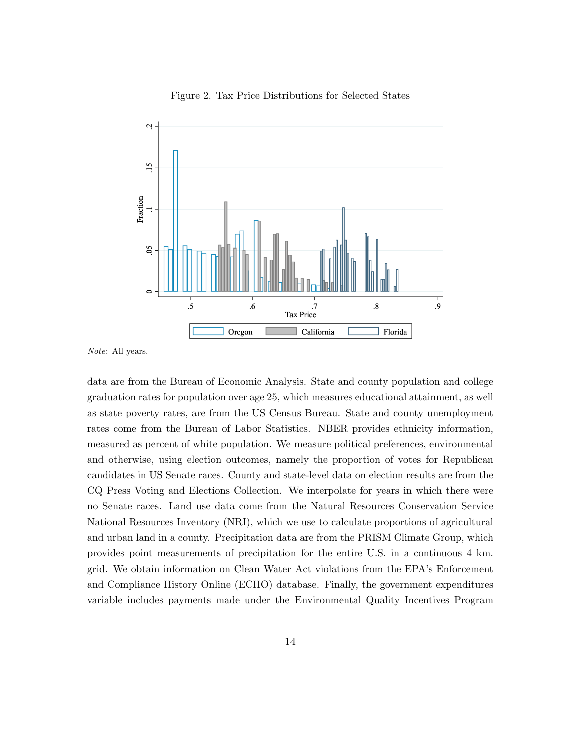<span id="page-13-0"></span>

Figure 2. Tax Price Distributions for Selected States

Note: All years.

data are from the Bureau of Economic Analysis. State and county population and college graduation rates for population over age 25, which measures educational attainment, as well as state poverty rates, are from the US Census Bureau. State and county unemployment rates come from the Bureau of Labor Statistics. NBER provides ethnicity information, measured as percent of white population. We measure political preferences, environmental and otherwise, using election outcomes, namely the proportion of votes for Republican candidates in US Senate races. County and state-level data on election results are from the CQ Press Voting and Elections Collection. We interpolate for years in which there were no Senate races. Land use data come from the Natural Resources Conservation Service National Resources Inventory (NRI), which we use to calculate proportions of agricultural and urban land in a county. Precipitation data are from the PRISM Climate Group, which provides point measurements of precipitation for the entire U.S. in a continuous 4 km. grid. We obtain information on Clean Water Act violations from the EPA's Enforcement and Compliance History Online (ECHO) database. Finally, the government expenditures variable includes payments made under the Environmental Quality Incentives Program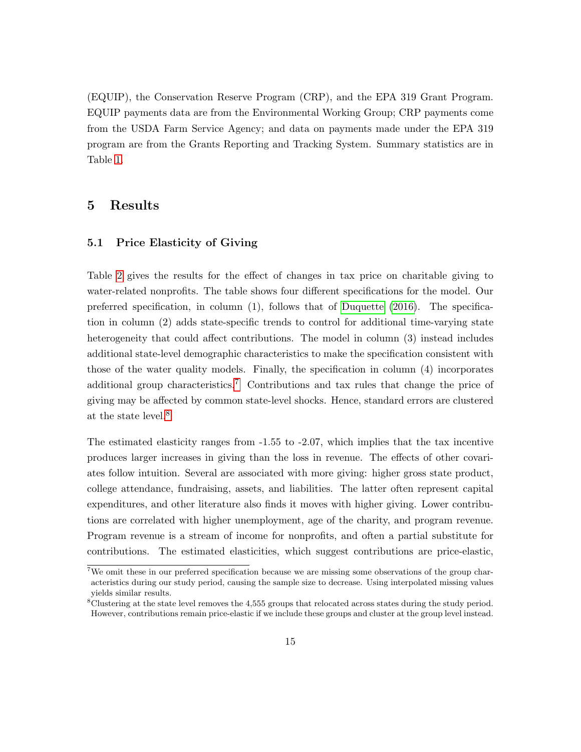(EQUIP), the Conservation Reserve Program (CRP), and the EPA 319 Grant Program. EQUIP payments data are from the Environmental Working Group; CRP payments come from the USDA Farm Service Agency; and data on payments made under the EPA 319 program are from the Grants Reporting and Tracking System. Summary statistics are in Table [1.](#page-11-0)

## 5 Results

#### 5.1 Price Elasticity of Giving

Table [2](#page-15-0) gives the results for the effect of changes in tax price on charitable giving to water-related nonprofits. The table shows four different specifications for the model. Our preferred specification, in column (1), follows that of [Duquette \(2016\)](#page-27-1). The specification in column (2) adds state-specific trends to control for additional time-varying state heterogeneity that could affect contributions. The model in column (3) instead includes additional state-level demographic characteristics to make the specification consistent with those of the water quality models. Finally, the specification in column (4) incorporates additional group characteristics.[7](#page-14-0) Contributions and tax rules that change the price of giving may be affected by common state-level shocks. Hence, standard errors are clustered at the state level.[8](#page-14-1)

The estimated elasticity ranges from -1.55 to -2.07, which implies that the tax incentive produces larger increases in giving than the loss in revenue. The effects of other covariates follow intuition. Several are associated with more giving: higher gross state product, college attendance, fundraising, assets, and liabilities. The latter often represent capital expenditures, and other literature also finds it moves with higher giving. Lower contributions are correlated with higher unemployment, age of the charity, and program revenue. Program revenue is a stream of income for nonprofits, and often a partial substitute for contributions. The estimated elasticities, which suggest contributions are price-elastic,

<span id="page-14-0"></span><sup>&</sup>lt;sup>7</sup>We omit these in our preferred specification because we are missing some observations of the group characteristics during our study period, causing the sample size to decrease. Using interpolated missing values yields similar results.

<span id="page-14-1"></span><sup>8</sup>Clustering at the state level removes the 4,555 groups that relocated across states during the study period. However, contributions remain price-elastic if we include these groups and cluster at the group level instead.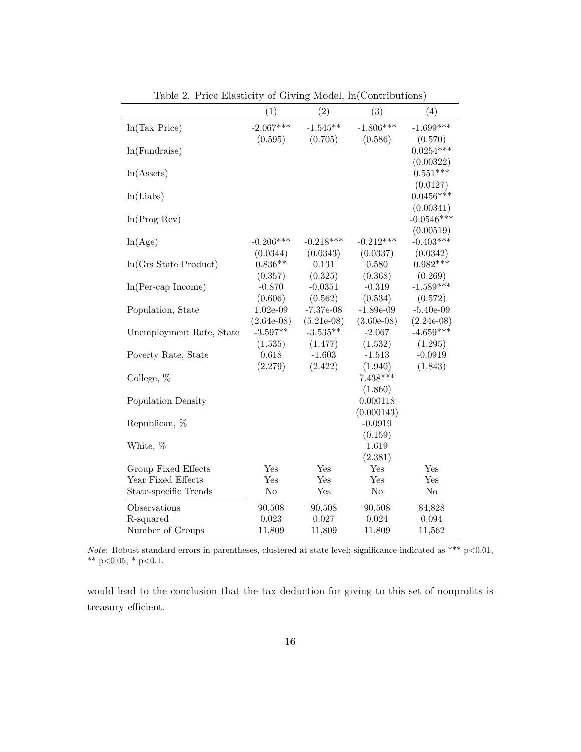<span id="page-15-0"></span>

|                          | (1)                        | (2)                         | (3)                      | (4)                         |
|--------------------------|----------------------------|-----------------------------|--------------------------|-----------------------------|
| ln(Tax Price)            | $-2.067***$                | $-1.545**$                  | $-1.806***$              | $-1.699***$                 |
|                          | (0.595)                    | (0.705)                     | (0.586)                  | (0.570)                     |
| ln(Fundraise)            |                            |                             |                          | $0.0254***$                 |
|                          |                            |                             |                          | (0.00322)                   |
| $ln(A{\text{ssets}})$    |                            |                             |                          | $0.551***$                  |
| ln(Liabs)                |                            |                             |                          | (0.0127)<br>$0.0456***$     |
|                          |                            |                             |                          | (0.00341)                   |
| ln(Prog Rev)             |                            |                             |                          | $-0.0546***$                |
|                          |                            |                             |                          | (0.00519)                   |
| ln(Age)                  | $-0.206***$                | $-0.218***$                 | $-0.212***$              | $-0.403***$                 |
|                          | (0.0344)                   | (0.0343)                    | (0.0337)                 | (0.0342)                    |
| ln(Grs State Product)    | $0.836**$                  | 0.131                       | 0.580                    | $0.982***$                  |
|                          | (0.357)                    | (0.325)                     | (0.368)                  | (0.269)                     |
| $ln(Per-cap Income)$     | $-0.870$                   | $-0.0351$                   | $-0.319$                 | $-1.589***$                 |
|                          | (0.606)                    | (0.562)                     | (0.534)                  | (0.572)                     |
| Population, State        | $1.02e-09$                 | $-7.37e-08$                 | $-1.89e-09$              | $-5.40e-09$                 |
| Unemployment Rate, State | $(2.64e-08)$<br>$-3.597**$ | $(5.21e-0.8)$<br>$-3.535**$ | $(3.60e-08)$<br>$-2.067$ | $(2.24e-08)$<br>$-4.659***$ |
|                          | (1.535)                    | (1.477)                     | (1.532)                  | (1.295)                     |
| Poverty Rate, State      | 0.618                      | $-1.603$                    | $-1.513$                 | $-0.0919$                   |
|                          | (2.279)                    | (2.422)                     | (1.940)                  | (1.843)                     |
| College, %               |                            |                             | $7.438***$               |                             |
|                          |                            |                             | (1.860)                  |                             |
| Population Density       |                            |                             | 0.000118                 |                             |
|                          |                            |                             | (0.000143)               |                             |
| Republican, %            |                            |                             | $-0.0919$                |                             |
|                          |                            |                             | (0.159)                  |                             |
| White, %                 |                            |                             | 1.619                    |                             |
| Group Fixed Effects      | Yes                        | Yes                         | (2.381)<br>Yes           | Yes                         |
| Year Fixed Effects       | Yes                        | Yes                         | Yes                      | Yes                         |
| State-specific Trends    | $\rm No$                   | Yes                         | $\rm No$                 | $\rm No$                    |
| Observations             |                            |                             |                          |                             |
| R-squared                | 90,508<br>0.023            | 90,508<br>0.027             | 90,508<br>0.024          | 84,828<br>0.094             |
| Number of Groups         | 11,809                     | 11,809                      | 11,809                   | 11,562                      |
|                          |                            |                             |                          |                             |

Table 2. Price Elasticity of Giving Model, ln(Contributions)

Note: Robust standard errors in parentheses, clustered at state level; significance indicated as \*\*\*  $p<0.01$ , \*\* p<0.05, \* p<0.1.

would lead to the conclusion that the tax deduction for giving to this set of nonprofits is treasury efficient.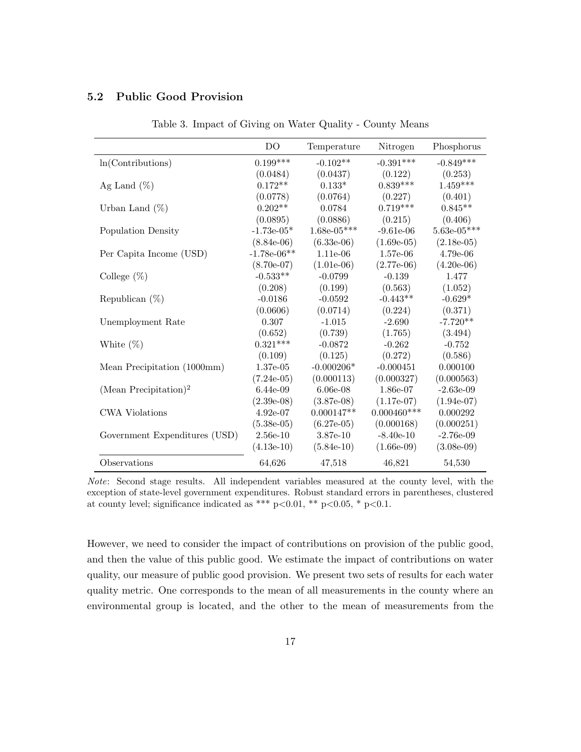### <span id="page-16-0"></span>5.2 Public Good Provision

|                                   | DO            | Temperature   | Nitrogen      | Phosphorus    |
|-----------------------------------|---------------|---------------|---------------|---------------|
| ln(Contribution)                  | $0.199***$    | $-0.102**$    | $-0.391***$   | $-0.849***$   |
|                                   | (0.0484)      | (0.0437)      | (0.122)       | (0.253)       |
| Ag Land $(\%)$                    | $0.172**$     | $0.133*$      | $0.839***$    | $1.459***$    |
|                                   | (0.0778)      | (0.0764)      | (0.227)       | (0.401)       |
| Urban Land $(\%)$                 | $0.202**$     | 0.0784        | $0.719***$    | $0.845**$     |
|                                   | (0.0895)      | (0.0886)      | (0.215)       | (0.406)       |
| Population Density                | $-1.73e-05*$  | $1.68e-05***$ | $-9.61e-06$   | $5.63e-05***$ |
|                                   | $(8.84e-06)$  | $(6.33e-06)$  | $(1.69e-05)$  | $(2.18e-05)$  |
| Per Capita Income (USD)           | $-1.78e-06**$ | 1.11e-06      | 1.57e-06      | 4.79e-06      |
|                                   | $(8.70e-07)$  | $(1.01e-06)$  | $(2.77e-06)$  | $(4.20e-06)$  |
| College $(\%)$                    | $-0.533**$    | $-0.0799$     | $-0.139$      | 1.477         |
|                                   | (0.208)       | (0.199)       | (0.563)       | (1.052)       |
| Republican $(\%)$                 | $-0.0186$     | $-0.0592$     | $-0.443**$    | $-0.629*$     |
|                                   | (0.0606)      | (0.0714)      | (0.224)       | (0.371)       |
| Unemployment Rate                 | 0.307         | $-1.015$      | $-2.690$      | $-7.720**$    |
|                                   | (0.652)       | (0.739)       | (1.765)       | (3.494)       |
| White $(\%)$                      | $0.321***$    | $-0.0872$     | $-0.262$      | $-0.752$      |
|                                   | (0.109)       | (0.125)       | (0.272)       | (0.586)       |
| Mean Precipitation (1000mm)       | 1.37e-05      | $-0.000206*$  | $-0.000451$   | 0.000100      |
|                                   | $(7.24e-05)$  | (0.000113)    | (0.000327)    | (0.000563)    |
| (Mean Precipitation) <sup>2</sup> | 6.44e-09      | $6.06e-08$    | 1.86e-07      | $-2.63e-09$   |
|                                   | $(2.39e-08)$  | $(3.87e-0.8)$ | $(1.17e-07)$  | $(1.94e-07)$  |
| <b>CWA Violations</b>             | $4.92e-07$    | $0.000147**$  | $0.000460***$ | 0.000292      |
|                                   | $(5.38e-05)$  | $(6.27e-05)$  | (0.000168)    | (0.000251)    |
| Government Expenditures (USD)     | $2.56e-10$    | 3.87e-10      | $-8.40e-10$   | $-2.76e-09$   |
|                                   | $(4.13e-10)$  | $(5.84e-10)$  | $(1.66e-0.9)$ | $(3.08e-0.9)$ |
| Observations                      | 64,626        | 47,518        | 46,821        | 54,530        |

Table 3. Impact of Giving on Water Quality - County Means

However, we need to consider the impact of contributions on provision of the public good, and then the value of this public good. We estimate the impact of contributions on water quality, our measure of public good provision. We present two sets of results for each water quality metric. One corresponds to the mean of all measurements in the county where an environmental group is located, and the other to the mean of measurements from the

Note: Second stage results. All independent variables measured at the county level, with the exception of state-level government expenditures. Robust standard errors in parentheses, clustered at county level; significance indicated as \*\*\* p<0.01, \*\* p<0.05, \* p<0.1.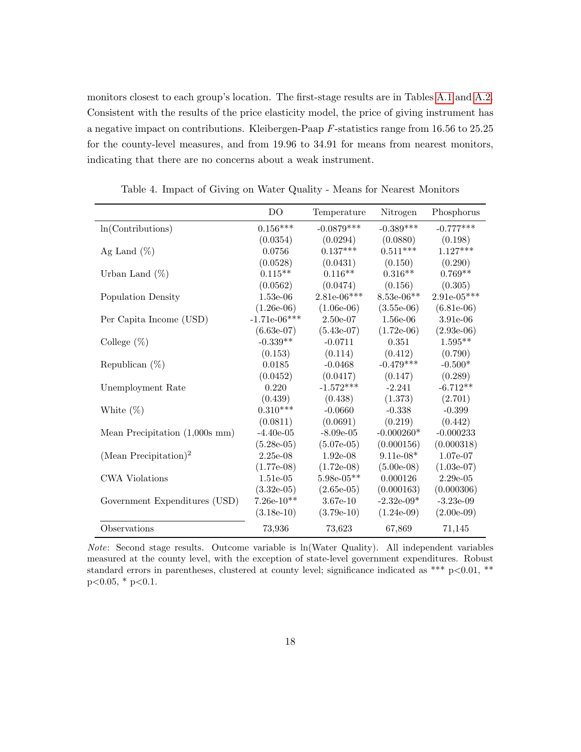monitors closest to each group's location. The first-stage results are in Tables [A.1](#page-30-0) and [A.2.](#page-31-0) Consistent with the results of the price elasticity model, the price of giving instrument has a negative impact on contributions. Kleibergen-Paap F-statistics range from 16.56 to 25.25 for the county-level measures, and from 19.96 to 34.91 for means from nearest monitors, indicating that there are no concerns about a weak instrument.

<span id="page-17-0"></span>

|                                   | D <sub>O</sub> | Temperature   | Nitrogen      | Phosphorus    |
|-----------------------------------|----------------|---------------|---------------|---------------|
| ln(Contribution)                  | $0.156***$     | $-0.0879***$  | $-0.389***$   | $-0.777***$   |
|                                   | (0.0354)       | (0.0294)      | (0.0880)      | (0.198)       |
| Ag Land $(\%)$                    | 0.0756         | $0.137***$    | $0.511***$    | $1.127***$    |
|                                   | (0.0528)       | (0.0431)      | (0.150)       | (0.290)       |
| Urban Land $(\%)$                 | $0.115**$      | $0.116**$     | $0.316**$     | $0.769**$     |
|                                   | (0.0562)       | (0.0474)      | (0.156)       | (0.305)       |
| Population Density                | $1.53e-06$     | $2.81e-06***$ | $8.53e-06**$  | $2.91e-05***$ |
|                                   | $(1.26e-06)$   | $(1.06e-06)$  | $(3.55e-06)$  | $(6.81e-06)$  |
| Per Capita Income (USD)           | $-1.71e-06***$ | $2.50e-07$    | $1.56e-06$    | 3.91e-06      |
|                                   | $(6.63e-07)$   | $(5.43e-07)$  | $(1.72e-06)$  | $(2.93e-06)$  |
| College $(\%)$                    | $-0.339**$     | $-0.0711$     | 0.351         | $1.595**$     |
|                                   | (0.153)        | (0.114)       | (0.412)       | (0.790)       |
| Republican $(\%)$                 | 0.0185         | $-0.0468$     | $-0.479***$   | $-0.500*$     |
|                                   | (0.0452)       | (0.0417)      | (0.147)       | (0.289)       |
| Unemployment Rate                 | 0.220          | $-1.572***$   | $-2.241$      | $-6.712**$    |
|                                   | (0.439)        | (0.438)       | (1.373)       | (2.701)       |
| White $(\%)$                      | $0.310***$     | $-0.0660$     | $-0.338$      | $-0.399$      |
|                                   | (0.0811)       | (0.0691)      | (0.219)       | (0.442)       |
| Mean Precipitation $(1,000s$ mm)  | $-4.40e-05$    | $-8.09e-05$   | $-0.000260*$  | $-0.000233$   |
|                                   | $(5.28e-05)$   | $(5.07e-05)$  | (0.000156)    | (0.000318)    |
| (Mean Precipitation) <sup>2</sup> | $2.25e-08$     | $1.92e-08$    | $9.11e-08*$   | 1.07e-07      |
|                                   | $(1.77e-0.8)$  | $(1.72e-0.8)$ | $(5.00e-08)$  | $(1.03e-07)$  |
| <b>CWA Violations</b>             | $1.51e-05$     | $5.98e-05**$  | 0.000126      | $2.29e-05$    |
|                                   | $(3.32e-05)$   | $(2.65e-05)$  | (0.000163)    | (0.000306)    |
| Government Expenditures (USD)     | $7.26e-10**$   | $3.67e-10$    | $-2.32e-09*$  | $-3.23e-09$   |
|                                   | $(3.18e-10)$   | $(3.79e-10)$  | $(1.24e-0.9)$ | $(2.00e-0.9)$ |
| Observations                      | 73,936         | 73,623        | 67,869        | 71,145        |

Table 4. Impact of Giving on Water Quality - Means for Nearest Monitors

Note: Second stage results. Outcome variable is ln(Water Quality). All independent variables measured at the county level, with the exception of state-level government expenditures. Robust standard errors in parentheses, clustered at county level; significance indicated as \*\*\* p<0.01, \*\*  $p<0.05$ , \*  $p<0.1$ .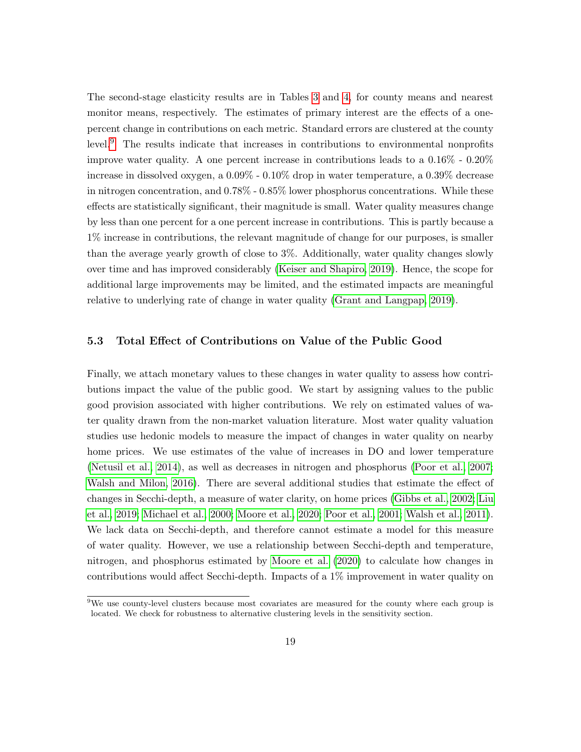The second-stage elasticity results are in Tables [3](#page-16-0) and [4,](#page-17-0) for county means and nearest monitor means, respectively. The estimates of primary interest are the effects of a onepercent change in contributions on each metric. Standard errors are clustered at the county level.[9](#page-18-0) The results indicate that increases in contributions to environmental nonprofits improve water quality. A one percent increase in contributions leads to a 0.16% - 0.20% increase in dissolved oxygen, a 0.09% - 0.10% drop in water temperature, a 0.39% decrease in nitrogen concentration, and 0.78% - 0.85% lower phosphorus concentrations. While these effects are statistically significant, their magnitude is small. Water quality measures change by less than one percent for a one percent increase in contributions. This is partly because a 1% increase in contributions, the relevant magnitude of change for our purposes, is smaller than the average yearly growth of close to 3%. Additionally, water quality changes slowly over time and has improved considerably [\(Keiser and Shapiro, 2019\)](#page-28-5). Hence, the scope for additional large improvements may be limited, and the estimated impacts are meaningful relative to underlying rate of change in water quality [\(Grant and Langpap, 2019\)](#page-27-4).

#### 5.3 Total Effect of Contributions on Value of the Public Good

Finally, we attach monetary values to these changes in water quality to assess how contributions impact the value of the public good. We start by assigning values to the public good provision associated with higher contributions. We rely on estimated values of water quality drawn from the non-market valuation literature. Most water quality valuation studies use hedonic models to measure the impact of changes in water quality on nearby home prices. We use estimates of the value of increases in DO and lower temperature [\(Netusil et al., 2014\)](#page-28-6), as well as decreases in nitrogen and phosphorus [\(Poor et al., 2007;](#page-29-5) [Walsh and Milon, 2016\)](#page-29-6). There are several additional studies that estimate the effect of changes in Secchi-depth, a measure of water clarity, on home prices [\(Gibbs et al., 2002;](#page-27-9) [Liu](#page-28-7) [et al., 2019;](#page-28-7) [Michael et al., 2000;](#page-28-8) [Moore et al., 2020;](#page-28-9) [Poor et al., 2001;](#page-29-7) [Walsh et al., 2011\)](#page-29-8). We lack data on Secchi-depth, and therefore cannot estimate a model for this measure of water quality. However, we use a relationship between Secchi-depth and temperature, nitrogen, and phosphorus estimated by [Moore et al. \(2020\)](#page-28-9) to calculate how changes in contributions would affect Secchi-depth. Impacts of a 1% improvement in water quality on

<span id="page-18-0"></span><sup>9</sup>We use county-level clusters because most covariates are measured for the county where each group is located. We check for robustness to alternative clustering levels in the sensitivity section.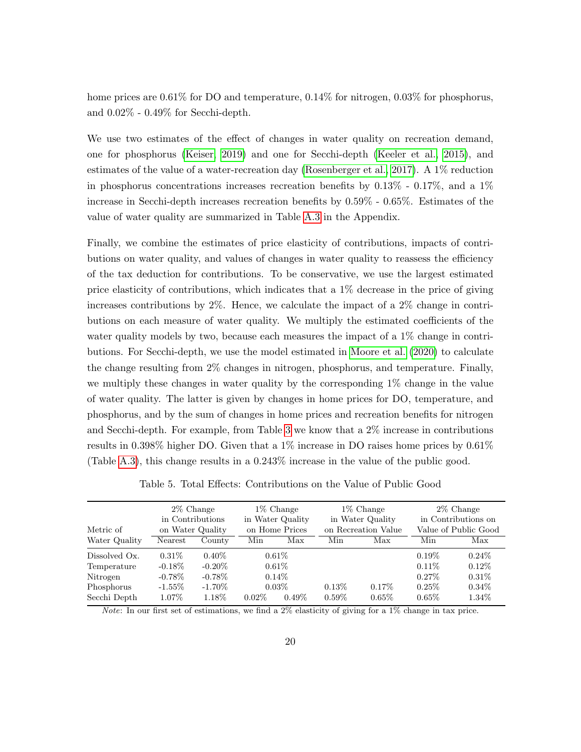home prices are  $0.61\%$  for DO and temperature,  $0.14\%$  for nitrogen,  $0.03\%$  for phosphorus, and 0.02% - 0.49% for Secchi-depth.

We use two estimates of the effect of changes in water quality on recreation demand, one for phosphorus [\(Keiser, 2019\)](#page-28-10) and one for Secchi-depth [\(Keeler et al., 2015\)](#page-27-10), and estimates of the value of a water-recreation day [\(Rosenberger et al., 2017\)](#page-29-9). A 1% reduction in phosphorus concentrations increases recreation benefits by 0.13% - 0.17%, and a 1% increase in Secchi-depth increases recreation benefits by 0.59% - 0.65%. Estimates of the value of water quality are summarized in Table [A.3](#page-32-0) in the Appendix.

Finally, we combine the estimates of price elasticity of contributions, impacts of contributions on water quality, and values of changes in water quality to reassess the efficiency of the tax deduction for contributions. To be conservative, we use the largest estimated price elasticity of contributions, which indicates that a 1% decrease in the price of giving increases contributions by 2%. Hence, we calculate the impact of a 2% change in contributions on each measure of water quality. We multiply the estimated coefficients of the water quality models by two, because each measures the impact of a 1% change in contributions. For Secchi-depth, we use the model estimated in [Moore et al. \(2020\)](#page-28-9) to calculate the change resulting from 2% changes in nitrogen, phosphorus, and temperature. Finally, we multiply these changes in water quality by the corresponding  $1\%$  change in the value of water quality. The latter is given by changes in home prices for DO, temperature, and phosphorus, and by the sum of changes in home prices and recreation benefits for nitrogen and Secchi-depth. For example, from Table [3](#page-16-0) we know that a 2% increase in contributions results in 0.398% higher DO. Given that a 1% increase in DO raises home prices by 0.61% (Table [A.3\)](#page-32-0), this change results in a 0.243% increase in the value of the public good.

<span id="page-19-0"></span>

| Metric of     |           | 2\% Change<br>in Contributions<br>on Water Quality | 1\% Change<br>in Water Quality<br>on Home Prices |          | $1\%$ Change<br>in Water Quality<br>on Recreation Value |          | 2\% Change<br>in Contributions on<br>Value of Public Good |          |
|---------------|-----------|----------------------------------------------------|--------------------------------------------------|----------|---------------------------------------------------------|----------|-----------------------------------------------------------|----------|
| Water Quality | Nearest   | County                                             | Min                                              | Max      | Min                                                     | Max      | Min                                                       | Max      |
| Dissolved Ox. | $0.31\%$  | $0.40\%$                                           | $0.61\%$                                         |          |                                                         |          | $0.19\%$                                                  | $0.24\%$ |
| Temperature   | $-0.18\%$ | $-0.20\%$                                          |                                                  | $0.61\%$ |                                                         |          | $0.11\%$                                                  | $0.12\%$ |
| Nitrogen      | $-0.78\%$ | $-0.78\%$                                          |                                                  | $0.14\%$ |                                                         |          | $0.27\%$                                                  | $0.31\%$ |
| Phosphorus    | $-1.55\%$ | $-1.70\%$                                          |                                                  | $0.03\%$ | 0.13%                                                   | $0.17\%$ | $0.25\%$                                                  | $0.34\%$ |
| Secchi Depth  | $1.07\%$  | 1.18%                                              | $0.02\%$                                         | $0.49\%$ | $0.59\%$                                                | $0.65\%$ | $0.65\%$                                                  | $1.34\%$ |
|               |           |                                                    |                                                  |          |                                                         |          |                                                           |          |

Table 5. Total Effects: Contributions on the Value of Public Good

Note: In our first set of estimations, we find a 2% elasticity of giving for a 1% change in tax price.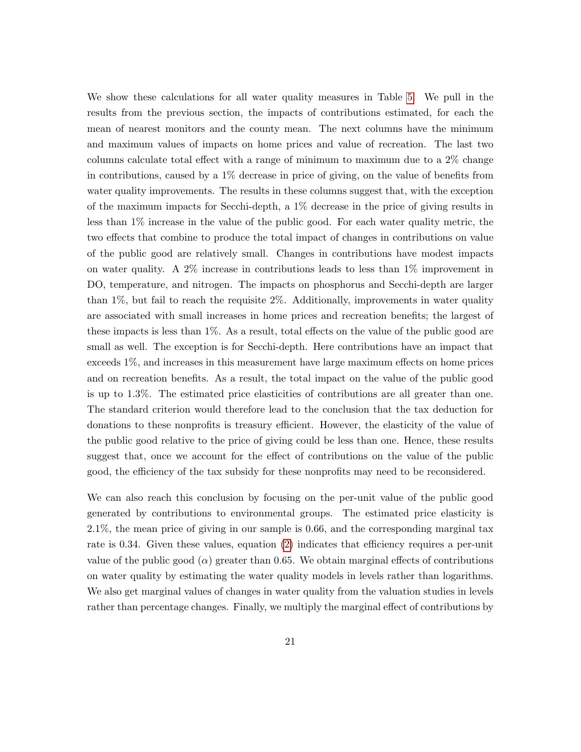We show these calculations for all water quality measures in Table [5.](#page-19-0) We pull in the results from the previous section, the impacts of contributions estimated, for each the mean of nearest monitors and the county mean. The next columns have the minimum and maximum values of impacts on home prices and value of recreation. The last two columns calculate total effect with a range of minimum to maximum due to a 2% change in contributions, caused by a 1% decrease in price of giving, on the value of benefits from water quality improvements. The results in these columns suggest that, with the exception of the maximum impacts for Secchi-depth, a 1% decrease in the price of giving results in less than 1% increase in the value of the public good. For each water quality metric, the two effects that combine to produce the total impact of changes in contributions on value of the public good are relatively small. Changes in contributions have modest impacts on water quality. A  $2\%$  increase in contributions leads to less than  $1\%$  improvement in DO, temperature, and nitrogen. The impacts on phosphorus and Secchi-depth are larger than 1%, but fail to reach the requisite 2%. Additionally, improvements in water quality are associated with small increases in home prices and recreation benefits; the largest of these impacts is less than 1%. As a result, total effects on the value of the public good are small as well. The exception is for Secchi-depth. Here contributions have an impact that exceeds 1%, and increases in this measurement have large maximum effects on home prices and on recreation benefits. As a result, the total impact on the value of the public good is up to 1.3%. The estimated price elasticities of contributions are all greater than one. The standard criterion would therefore lead to the conclusion that the tax deduction for donations to these nonprofits is treasury efficient. However, the elasticity of the value of the public good relative to the price of giving could be less than one. Hence, these results suggest that, once we account for the effect of contributions on the value of the public good, the efficiency of the tax subsidy for these nonprofits may need to be reconsidered.

We can also reach this conclusion by focusing on the per-unit value of the public good generated by contributions to environmental groups. The estimated price elasticity is 2.1%, the mean price of giving in our sample is 0.66, and the corresponding marginal tax rate is 0.34. Given these values, equation [\(2\)](#page-6-0) indicates that efficiency requires a per-unit value of the public good  $(\alpha)$  greater than 0.65. We obtain marginal effects of contributions on water quality by estimating the water quality models in levels rather than logarithms. We also get marginal values of changes in water quality from the valuation studies in levels rather than percentage changes. Finally, we multiply the marginal effect of contributions by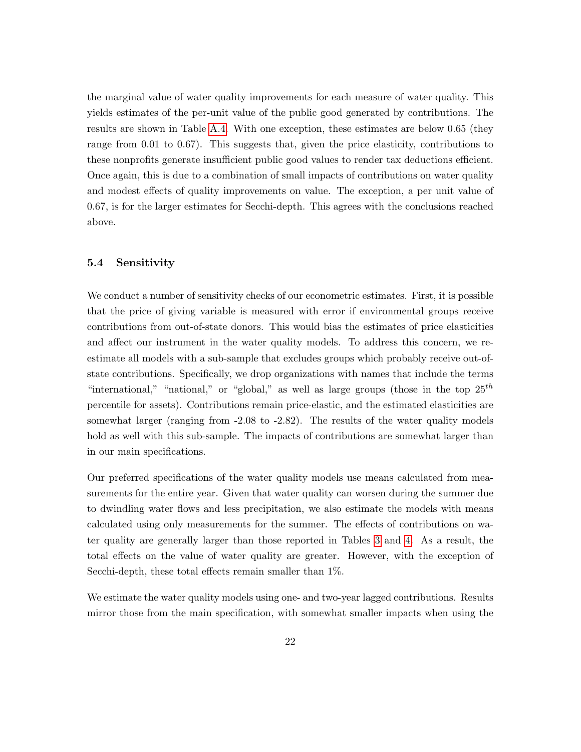the marginal value of water quality improvements for each measure of water quality. This yields estimates of the per-unit value of the public good generated by contributions. The results are shown in Table [A.4.](#page-32-1) With one exception, these estimates are below 0.65 (they range from 0.01 to 0.67). This suggests that, given the price elasticity, contributions to these nonprofits generate insufficient public good values to render tax deductions efficient. Once again, this is due to a combination of small impacts of contributions on water quality and modest effects of quality improvements on value. The exception, a per unit value of 0.67, is for the larger estimates for Secchi-depth. This agrees with the conclusions reached above.

#### 5.4 Sensitivity

We conduct a number of sensitivity checks of our econometric estimates. First, it is possible that the price of giving variable is measured with error if environmental groups receive contributions from out-of-state donors. This would bias the estimates of price elasticities and affect our instrument in the water quality models. To address this concern, we reestimate all models with a sub-sample that excludes groups which probably receive out-ofstate contributions. Specifically, we drop organizations with names that include the terms "international," "national," or "global," as well as large groups (those in the top  $25^{th}$ ) percentile for assets). Contributions remain price-elastic, and the estimated elasticities are somewhat larger (ranging from -2.08 to -2.82). The results of the water quality models hold as well with this sub-sample. The impacts of contributions are somewhat larger than in our main specifications.

Our preferred specifications of the water quality models use means calculated from measurements for the entire year. Given that water quality can worsen during the summer due to dwindling water flows and less precipitation, we also estimate the models with means calculated using only measurements for the summer. The effects of contributions on water quality are generally larger than those reported in Tables [3](#page-16-0) and [4.](#page-17-0) As a result, the total effects on the value of water quality are greater. However, with the exception of Secchi-depth, these total effects remain smaller than 1%.

We estimate the water quality models using one- and two-year lagged contributions. Results mirror those from the main specification, with somewhat smaller impacts when using the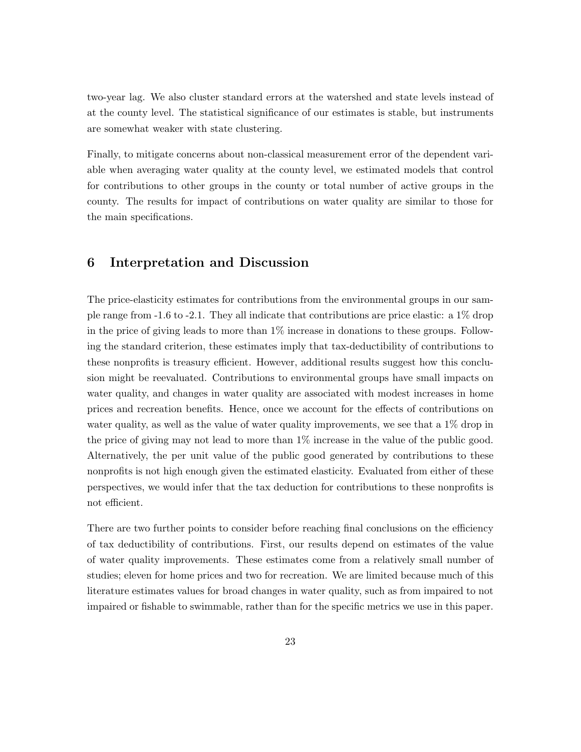two-year lag. We also cluster standard errors at the watershed and state levels instead of at the county level. The statistical significance of our estimates is stable, but instruments are somewhat weaker with state clustering.

Finally, to mitigate concerns about non-classical measurement error of the dependent variable when averaging water quality at the county level, we estimated models that control for contributions to other groups in the county or total number of active groups in the county. The results for impact of contributions on water quality are similar to those for the main specifications.

## 6 Interpretation and Discussion

The price-elasticity estimates for contributions from the environmental groups in our sample range from -1.6 to -2.1. They all indicate that contributions are price elastic: a 1% drop in the price of giving leads to more than 1% increase in donations to these groups. Following the standard criterion, these estimates imply that tax-deductibility of contributions to these nonprofits is treasury efficient. However, additional results suggest how this conclusion might be reevaluated. Contributions to environmental groups have small impacts on water quality, and changes in water quality are associated with modest increases in home prices and recreation benefits. Hence, once we account for the effects of contributions on water quality, as well as the value of water quality improvements, we see that a 1% drop in the price of giving may not lead to more than  $1\%$  increase in the value of the public good. Alternatively, the per unit value of the public good generated by contributions to these nonprofits is not high enough given the estimated elasticity. Evaluated from either of these perspectives, we would infer that the tax deduction for contributions to these nonprofits is not efficient.

There are two further points to consider before reaching final conclusions on the efficiency of tax deductibility of contributions. First, our results depend on estimates of the value of water quality improvements. These estimates come from a relatively small number of studies; eleven for home prices and two for recreation. We are limited because much of this literature estimates values for broad changes in water quality, such as from impaired to not impaired or fishable to swimmable, rather than for the specific metrics we use in this paper.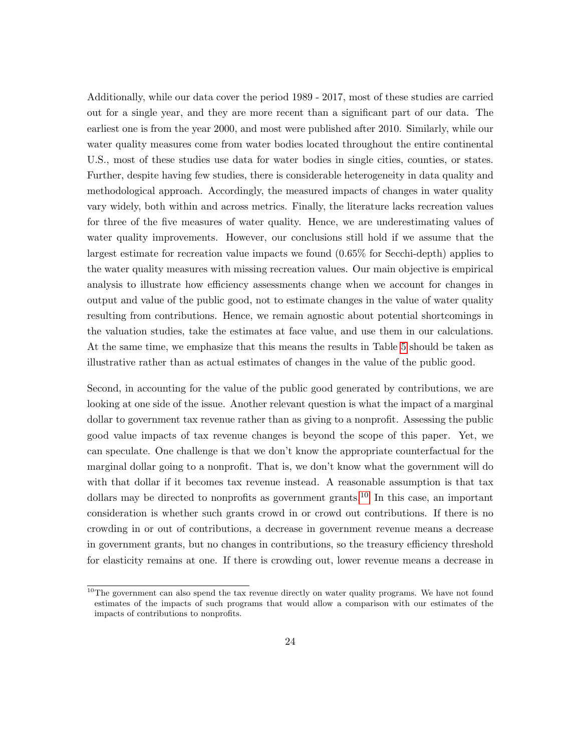Additionally, while our data cover the period 1989 - 2017, most of these studies are carried out for a single year, and they are more recent than a significant part of our data. The earliest one is from the year 2000, and most were published after 2010. Similarly, while our water quality measures come from water bodies located throughout the entire continental U.S., most of these studies use data for water bodies in single cities, counties, or states. Further, despite having few studies, there is considerable heterogeneity in data quality and methodological approach. Accordingly, the measured impacts of changes in water quality vary widely, both within and across metrics. Finally, the literature lacks recreation values for three of the five measures of water quality. Hence, we are underestimating values of water quality improvements. However, our conclusions still hold if we assume that the largest estimate for recreation value impacts we found (0.65% for Secchi-depth) applies to the water quality measures with missing recreation values. Our main objective is empirical analysis to illustrate how efficiency assessments change when we account for changes in output and value of the public good, not to estimate changes in the value of water quality resulting from contributions. Hence, we remain agnostic about potential shortcomings in the valuation studies, take the estimates at face value, and use them in our calculations. At the same time, we emphasize that this means the results in Table [5](#page-19-0) should be taken as illustrative rather than as actual estimates of changes in the value of the public good.

Second, in accounting for the value of the public good generated by contributions, we are looking at one side of the issue. Another relevant question is what the impact of a marginal dollar to government tax revenue rather than as giving to a nonprofit. Assessing the public good value impacts of tax revenue changes is beyond the scope of this paper. Yet, we can speculate. One challenge is that we don't know the appropriate counterfactual for the marginal dollar going to a nonprofit. That is, we don't know what the government will do with that dollar if it becomes tax revenue instead. A reasonable assumption is that tax dollars may be directed to nonprofits as government grants.<sup>[10](#page-23-0)</sup> In this case, an important consideration is whether such grants crowd in or crowd out contributions. If there is no crowding in or out of contributions, a decrease in government revenue means a decrease in government grants, but no changes in contributions, so the treasury efficiency threshold for elasticity remains at one. If there is crowding out, lower revenue means a decrease in

<span id="page-23-0"></span><sup>&</sup>lt;sup>10</sup>The government can also spend the tax revenue directly on water quality programs. We have not found estimates of the impacts of such programs that would allow a comparison with our estimates of the impacts of contributions to nonprofits.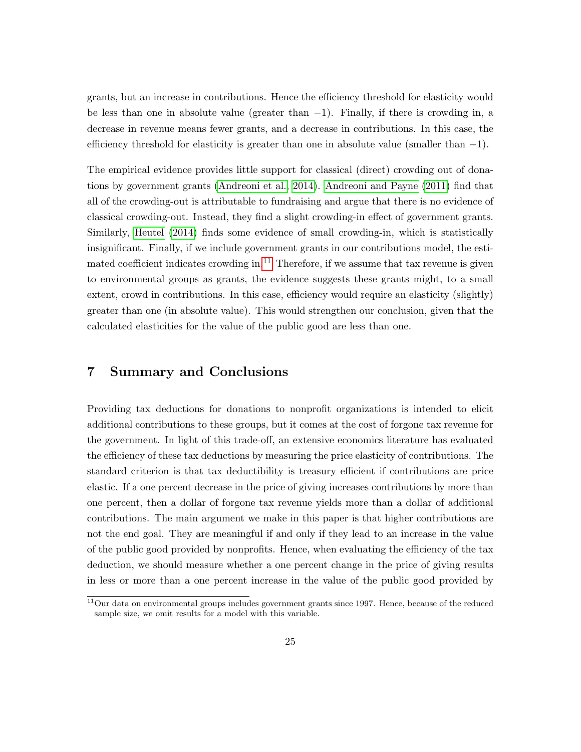grants, but an increase in contributions. Hence the efficiency threshold for elasticity would be less than one in absolute value (greater than  $-1$ ). Finally, if there is crowding in, a decrease in revenue means fewer grants, and a decrease in contributions. In this case, the efficiency threshold for elasticity is greater than one in absolute value (smaller than  $-1$ ).

The empirical evidence provides little support for classical (direct) crowding out of donations by government grants [\(Andreoni et al., 2014\)](#page-26-8). [Andreoni and Payne \(2011\)](#page-26-9) find that all of the crowding-out is attributable to fundraising and argue that there is no evidence of classical crowding-out. Instead, they find a slight crowding-in effect of government grants. Similarly, [Heutel \(2014\)](#page-27-11) finds some evidence of small crowding-in, which is statistically insignificant. Finally, if we include government grants in our contributions model, the esti-mated coefficient indicates crowding in.<sup>[11](#page-24-0)</sup> Therefore, if we assume that tax revenue is given to environmental groups as grants, the evidence suggests these grants might, to a small extent, crowd in contributions. In this case, efficiency would require an elasticity (slightly) greater than one (in absolute value). This would strengthen our conclusion, given that the calculated elasticities for the value of the public good are less than one.

## 7 Summary and Conclusions

Providing tax deductions for donations to nonprofit organizations is intended to elicit additional contributions to these groups, but it comes at the cost of forgone tax revenue for the government. In light of this trade-off, an extensive economics literature has evaluated the efficiency of these tax deductions by measuring the price elasticity of contributions. The standard criterion is that tax deductibility is treasury efficient if contributions are price elastic. If a one percent decrease in the price of giving increases contributions by more than one percent, then a dollar of forgone tax revenue yields more than a dollar of additional contributions. The main argument we make in this paper is that higher contributions are not the end goal. They are meaningful if and only if they lead to an increase in the value of the public good provided by nonprofits. Hence, when evaluating the efficiency of the tax deduction, we should measure whether a one percent change in the price of giving results in less or more than a one percent increase in the value of the public good provided by

<span id="page-24-0"></span> $11$ Our data on environmental groups includes government grants since 1997. Hence, because of the reduced sample size, we omit results for a model with this variable.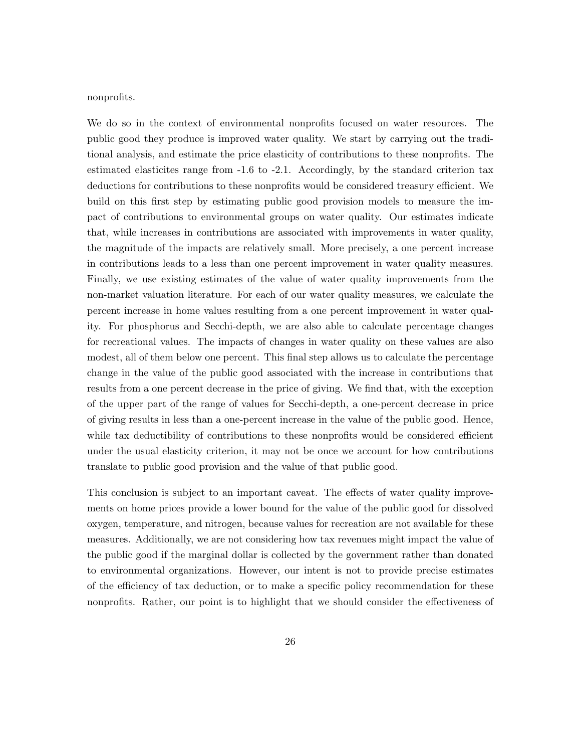nonprofits.

We do so in the context of environmental nonprofits focused on water resources. The public good they produce is improved water quality. We start by carrying out the traditional analysis, and estimate the price elasticity of contributions to these nonprofits. The estimated elasticites range from -1.6 to -2.1. Accordingly, by the standard criterion tax deductions for contributions to these nonprofits would be considered treasury efficient. We build on this first step by estimating public good provision models to measure the impact of contributions to environmental groups on water quality. Our estimates indicate that, while increases in contributions are associated with improvements in water quality, the magnitude of the impacts are relatively small. More precisely, a one percent increase in contributions leads to a less than one percent improvement in water quality measures. Finally, we use existing estimates of the value of water quality improvements from the non-market valuation literature. For each of our water quality measures, we calculate the percent increase in home values resulting from a one percent improvement in water quality. For phosphorus and Secchi-depth, we are also able to calculate percentage changes for recreational values. The impacts of changes in water quality on these values are also modest, all of them below one percent. This final step allows us to calculate the percentage change in the value of the public good associated with the increase in contributions that results from a one percent decrease in the price of giving. We find that, with the exception of the upper part of the range of values for Secchi-depth, a one-percent decrease in price of giving results in less than a one-percent increase in the value of the public good. Hence, while tax deductibility of contributions to these nonprofits would be considered efficient under the usual elasticity criterion, it may not be once we account for how contributions translate to public good provision and the value of that public good.

This conclusion is subject to an important caveat. The effects of water quality improvements on home prices provide a lower bound for the value of the public good for dissolved oxygen, temperature, and nitrogen, because values for recreation are not available for these measures. Additionally, we are not considering how tax revenues might impact the value of the public good if the marginal dollar is collected by the government rather than donated to environmental organizations. However, our intent is not to provide precise estimates of the efficiency of tax deduction, or to make a specific policy recommendation for these nonprofits. Rather, our point is to highlight that we should consider the effectiveness of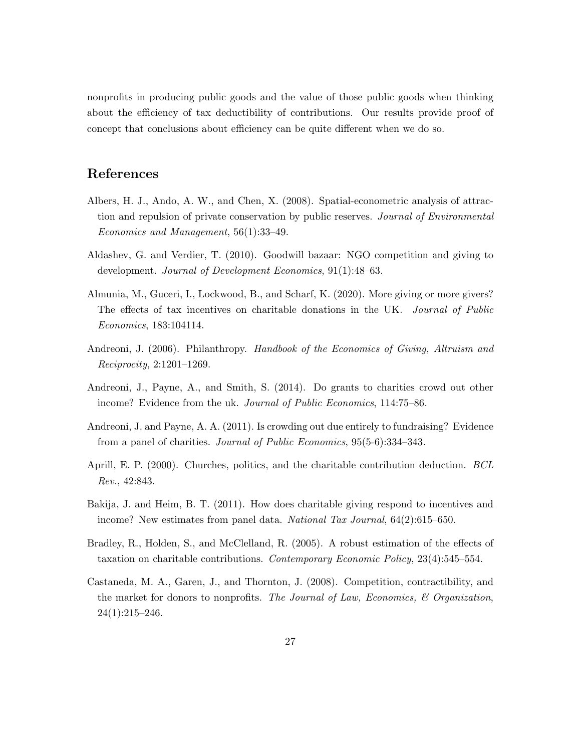nonprofits in producing public goods and the value of those public goods when thinking about the efficiency of tax deductibility of contributions. Our results provide proof of concept that conclusions about efficiency can be quite different when we do so.

## References

- <span id="page-26-1"></span>Albers, H. J., Ando, A. W., and Chen, X. (2008). Spatial-econometric analysis of attraction and repulsion of private conservation by public reserves. Journal of Environmental Economics and Management, 56(1):33–49.
- <span id="page-26-5"></span>Aldashev, G. and Verdier, T. (2010). Goodwill bazaar: NGO competition and giving to development. Journal of Development Economics, 91(1):48–63.
- <span id="page-26-7"></span>Almunia, M., Guceri, I., Lockwood, B., and Scharf, K. (2020). More giving or more givers? The effects of tax incentives on charitable donations in the UK. Journal of Public Economics, 183:104114.
- <span id="page-26-4"></span>Andreoni, J. (2006). Philanthropy. Handbook of the Economics of Giving, Altruism and Reciprocity, 2:1201–1269.
- <span id="page-26-8"></span>Andreoni, J., Payne, A., and Smith, S. (2014). Do grants to charities crowd out other income? Evidence from the uk. Journal of Public Economics, 114:75–86.
- <span id="page-26-9"></span>Andreoni, J. and Payne, A. A. (2011). Is crowding out due entirely to fundraising? Evidence from a panel of charities. Journal of Public Economics, 95(5-6):334–343.
- <span id="page-26-0"></span>Aprill, E. P. (2000). Churches, politics, and the charitable contribution deduction. BCL Rev., 42:843.
- <span id="page-26-3"></span>Bakija, J. and Heim, B. T. (2011). How does charitable giving respond to incentives and income? New estimates from panel data. *National Tax Journal*, 64(2):615–650.
- <span id="page-26-2"></span>Bradley, R., Holden, S., and McClelland, R. (2005). A robust estimation of the effects of taxation on charitable contributions. Contemporary Economic Policy, 23(4):545–554.
- <span id="page-26-6"></span>Castaneda, M. A., Garen, J., and Thornton, J. (2008). Competition, contractibility, and the market for donors to nonprofits. The Journal of Law, Economics,  $\mathcal C$  Organization,  $24(1):215-246.$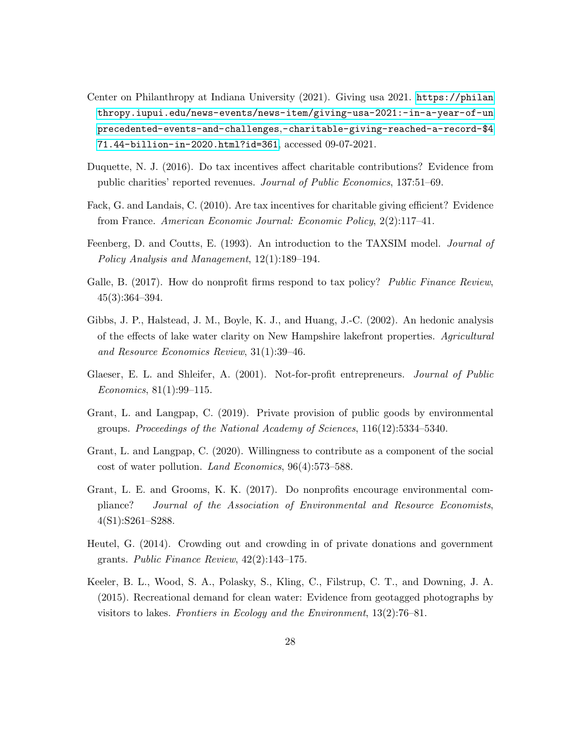- <span id="page-27-0"></span>Center on Philanthropy at Indiana University (2021). Giving usa 2021. [https://philan](https://philanthropy.iupui.edu/news-events/news-item/giving-usa-2021:-in-a-year-of-unprecedented-events-and-challenges,-charitable-giving-reached-a-record-$471.44-billion-in-2020.html?id=361) [thropy.iupui.edu/news-events/news-item/giving-usa-2021:-in-a-year-of-un](https://philanthropy.iupui.edu/news-events/news-item/giving-usa-2021:-in-a-year-of-unprecedented-events-and-challenges,-charitable-giving-reached-a-record-$471.44-billion-in-2020.html?id=361) precedented-events-and-challenges,[-charitable-giving-reached-a-record-\\$4](https://philanthropy.iupui.edu/news-events/news-item/giving-usa-2021:-in-a-year-of-unprecedented-events-and-challenges,-charitable-giving-reached-a-record-$471.44-billion-in-2020.html?id=361) [71.44-billion-in-2020.html?id=361](https://philanthropy.iupui.edu/news-events/news-item/giving-usa-2021:-in-a-year-of-unprecedented-events-and-challenges,-charitable-giving-reached-a-record-$471.44-billion-in-2020.html?id=361), accessed 09-07-2021.
- <span id="page-27-1"></span>Duquette, N. J. (2016). Do tax incentives affect charitable contributions? Evidence from public charities' reported revenues. Journal of Public Economics, 137:51–69.
- <span id="page-27-5"></span>Fack, G. and Landais, C. (2010). Are tax incentives for charitable giving efficient? Evidence from France. American Economic Journal: Economic Policy, 2(2):117–41.
- <span id="page-27-8"></span>Feenberg, D. and Coutts, E. (1993). An introduction to the TAXSIM model. *Journal of* Policy Analysis and Management, 12(1):189–194.
- <span id="page-27-6"></span>Galle, B. (2017). How do nonprofit firms respond to tax policy? Public Finance Review, 45(3):364–394.
- <span id="page-27-9"></span>Gibbs, J. P., Halstead, J. M., Boyle, K. J., and Huang, J.-C. (2002). An hedonic analysis of the effects of lake water clarity on New Hampshire lakefront properties. Agricultural and Resource Economics Review, 31(1):39–46.
- <span id="page-27-7"></span>Glaeser, E. L. and Shleifer, A. (2001). Not-for-profit entrepreneurs. Journal of Public Economics, 81(1):99–115.
- <span id="page-27-4"></span>Grant, L. and Langpap, C. (2019). Private provision of public goods by environmental groups. Proceedings of the National Academy of Sciences, 116(12):5334–5340.
- <span id="page-27-3"></span>Grant, L. and Langpap, C. (2020). Willingness to contribute as a component of the social cost of water pollution. Land Economics, 96(4):573–588.
- <span id="page-27-2"></span>Grant, L. E. and Grooms, K. K. (2017). Do nonprofits encourage environmental compliance? Journal of the Association of Environmental and Resource Economists, 4(S1):S261–S288.
- <span id="page-27-11"></span>Heutel, G. (2014). Crowding out and crowding in of private donations and government grants. Public Finance Review, 42(2):143–175.
- <span id="page-27-10"></span>Keeler, B. L., Wood, S. A., Polasky, S., Kling, C., Filstrup, C. T., and Downing, J. A. (2015). Recreational demand for clean water: Evidence from geotagged photographs by visitors to lakes. Frontiers in Ecology and the Environment, 13(2):76–81.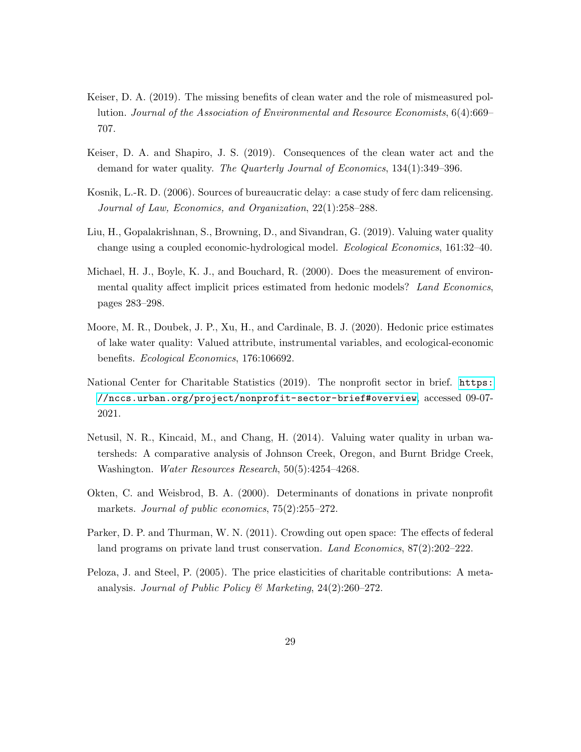- <span id="page-28-10"></span>Keiser, D. A. (2019). The missing benefits of clean water and the role of mismeasured pollution. Journal of the Association of Environmental and Resource Economists, 6(4):669– 707.
- <span id="page-28-5"></span>Keiser, D. A. and Shapiro, J. S. (2019). Consequences of the clean water act and the demand for water quality. The Quarterly Journal of Economics, 134(1):349–396.
- <span id="page-28-3"></span>Kosnik, L.-R. D. (2006). Sources of bureaucratic delay: a case study of ferc dam relicensing. Journal of Law, Economics, and Organization, 22(1):258–288.
- <span id="page-28-7"></span>Liu, H., Gopalakrishnan, S., Browning, D., and Sivandran, G. (2019). Valuing water quality change using a coupled economic-hydrological model. Ecological Economics, 161:32–40.
- <span id="page-28-8"></span>Michael, H. J., Boyle, K. J., and Bouchard, R. (2000). Does the measurement of environmental quality affect implicit prices estimated from hedonic models? Land Economics, pages 283–298.
- <span id="page-28-9"></span>Moore, M. R., Doubek, J. P., Xu, H., and Cardinale, B. J. (2020). Hedonic price estimates of lake water quality: Valued attribute, instrumental variables, and ecological-economic benefits. Ecological Economics, 176:106692.
- <span id="page-28-0"></span>National Center for Charitable Statistics (2019). The nonprofit sector in brief. [https:](https://nccs.urban.org/project/nonprofit-sector-brief#overview) [//nccs.urban.org/project/nonprofit-sector-brief#overview](https://nccs.urban.org/project/nonprofit-sector-brief#overview), accessed 09-07- 2021.
- <span id="page-28-6"></span>Netusil, N. R., Kincaid, M., and Chang, H. (2014). Valuing water quality in urban watersheds: A comparative analysis of Johnson Creek, Oregon, and Burnt Bridge Creek, Washington. Water Resources Research, 50(5):4254–4268.
- <span id="page-28-4"></span>Okten, C. and Weisbrod, B. A. (2000). Determinants of donations in private nonprofit markets. *Journal of public economics*,  $75(2):255-272$ .
- <span id="page-28-2"></span>Parker, D. P. and Thurman, W. N. (2011). Crowding out open space: The effects of federal land programs on private land trust conservation. Land Economics,  $87(2):202-222$ .
- <span id="page-28-1"></span>Peloza, J. and Steel, P. (2005). The price elasticities of charitable contributions: A metaanalysis. Journal of Public Policy & Marketing,  $24(2):260-272$ .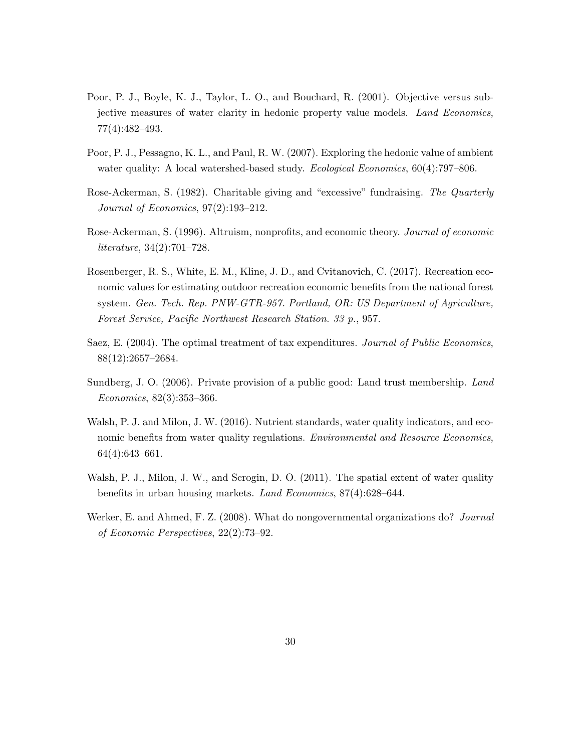- <span id="page-29-7"></span>Poor, P. J., Boyle, K. J., Taylor, L. O., and Bouchard, R. (2001). Objective versus subjective measures of water clarity in hedonic property value models. Land Economics, 77(4):482–493.
- <span id="page-29-5"></span>Poor, P. J., Pessagno, K. L., and Paul, R. W. (2007). Exploring the hedonic value of ambient water quality: A local watershed-based study. Ecological Economics,  $60(4)$ :797–806.
- <span id="page-29-2"></span>Rose-Ackerman, S. (1982). Charitable giving and "excessive" fundraising. The Quarterly Journal of Economics, 97(2):193–212.
- <span id="page-29-3"></span>Rose-Ackerman, S. (1996). Altruism, nonprofits, and economic theory. *Journal of economic* literature, 34(2):701–728.
- <span id="page-29-9"></span>Rosenberger, R. S., White, E. M., Kline, J. D., and Cvitanovich, C. (2017). Recreation economic values for estimating outdoor recreation economic benefits from the national forest system. Gen. Tech. Rep. PNW-GTR-957. Portland, OR: US Department of Agriculture, Forest Service, Pacific Northwest Research Station. 33 p., 957.
- <span id="page-29-1"></span>Saez, E. (2004). The optimal treatment of tax expenditures. Journal of Public Economics, 88(12):2657–2684.
- <span id="page-29-0"></span>Sundberg, J. O. (2006). Private provision of a public good: Land trust membership. Land Economics, 82(3):353–366.
- <span id="page-29-6"></span>Walsh, P. J. and Milon, J. W. (2016). Nutrient standards, water quality indicators, and economic benefits from water quality regulations. Environmental and Resource Economics, 64(4):643–661.
- <span id="page-29-8"></span>Walsh, P. J., Milon, J. W., and Scrogin, D. O. (2011). The spatial extent of water quality benefits in urban housing markets. Land Economics, 87(4):628–644.
- <span id="page-29-4"></span>Werker, E. and Ahmed, F. Z. (2008). What do nongovernmental organizations do? Journal of Economic Perspectives, 22(2):73–92.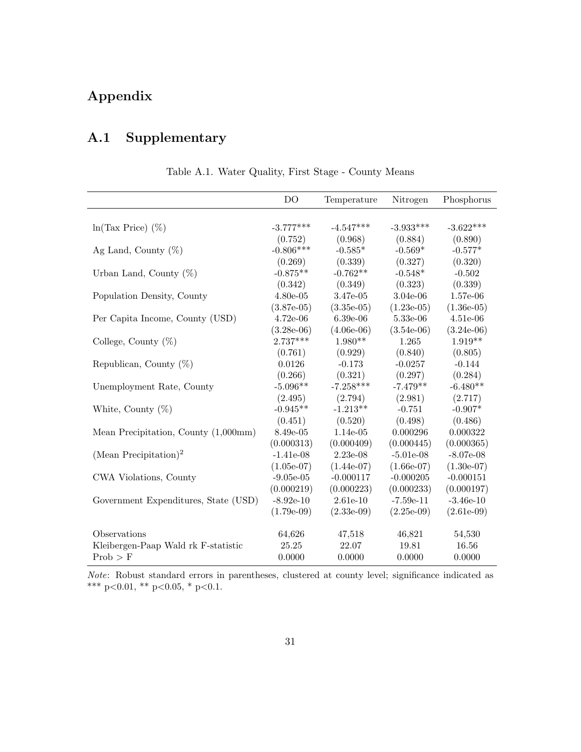# Appendix

# A.1 Supplementary

| Table A.1. Water Quality, First Stage - County Means |  |  |  |
|------------------------------------------------------|--|--|--|
|                                                      |  |  |  |

<span id="page-30-0"></span>

|                                      | D <sub>O</sub>             | Temperature          | Nitrogen             | Phosphorus           |
|--------------------------------------|----------------------------|----------------------|----------------------|----------------------|
|                                      | $-3.777***$                |                      | $-3.933***$          | $-3.622***$          |
| $ln(Tax Price)$ (%)                  |                            | $-4.547***$          |                      |                      |
|                                      | (0.752)<br>$-0.806***$     | (0.968)<br>$-0.585*$ | (0.884)<br>$-0.569*$ | (0.890)<br>$-0.577*$ |
| Ag Land, County $(\%)$               | (0.269)                    | (0.339)              | (0.327)              | (0.320)              |
| Urban Land, County $(\%)$            | $-0.875**$                 | $-0.762**$           | $-0.548*$            | $-0.502$             |
|                                      | (0.342)                    | (0.349)              | (0.323)              | (0.339)              |
|                                      |                            |                      |                      |                      |
| Population Density, County           | $4.80e-05$                 | 3.47e-05             | 3.04e-06             | 1.57e-06             |
|                                      | $(3.87e-05)$               | $(3.35e-05)$         | $(1.23e-05)$         | $(1.36e-05)$         |
| Per Capita Income, County (USD)      | $4.72e-06$                 | $6.39e-06$           | 5.33e-06             | $4.51e-06$           |
|                                      | $(3.28e-06)$<br>$2.737***$ | $(4.06e-06)$         | $(3.54e-06)$         | $(3.24e-06)$         |
| College, County $(\%)$               |                            | $1.980**$            | 1.265                | $1.919**$            |
|                                      | (0.761)                    | (0.929)              | (0.840)              | (0.805)              |
| Republican, County $(\%)$            | 0.0126                     | $-0.173$             | $-0.0257$            | $-0.144$             |
|                                      | (0.266)                    | (0.321)              | (0.297)              | (0.284)              |
| Unemployment Rate, County            | $-5.096**$                 | $-7.258***$          | $-7.479**$           | $-6.480**$           |
|                                      | (2.495)                    | (2.794)              | (2.981)              | (2.717)              |
| White, County $(\%)$                 | $-0.945**$                 | $-1.213**$           | $-0.751$             | $-0.907*$            |
|                                      | (0.451)                    | (0.520)              | (0.498)              | (0.486)              |
| Mean Precipitation, County (1,000mm) | $8.49e-05$                 | 1.14e-05             | 0.000296             | 0.000322             |
|                                      | (0.000313)                 | (0.000409)           | (0.000445)           | (0.000365)           |
| (Mean Precipitation) <sup>2</sup>    | $-1.41e-08$                | 2.23e-08             | $-5.01e-08$          | $-8.07e-08$          |
|                                      | $(1.05e-07)$               | $(1.44e-07)$         | $(1.66e-07)$         | $(1.30e-07)$         |
| CWA Violations, County               | $-9.05e-05$                | $-0.000117$          | $-0.000205$          | $-0.000151$          |
|                                      | (0.000219)                 | (0.000223)           | (0.000233)           | (0.000197)           |
| Government Expenditures, State (USD) | $-8.92e-10$                | $2.61e-10$           | $-7.59e-11$          | $-3.46e-10$          |
|                                      | $(1.79e-0.9)$              | $(2.33e-0.9)$        | $(2.25e-0.9)$        | $(2.61e-0.9)$        |
| Observations                         | 64,626                     | 47,518               | 46,821               | 54,530               |
| Kleibergen-Paap Wald rk F-statistic  | 25.25                      | 22.07                | 19.81                | 16.56                |
| Prob > F                             | 0.0000                     | 0.0000               | 0.0000               | 0.0000               |

Note: Robust standard errors in parentheses, clustered at county level; significance indicated as \*\*\* p<0.01, \*\* p<0.05, \* p<0.1.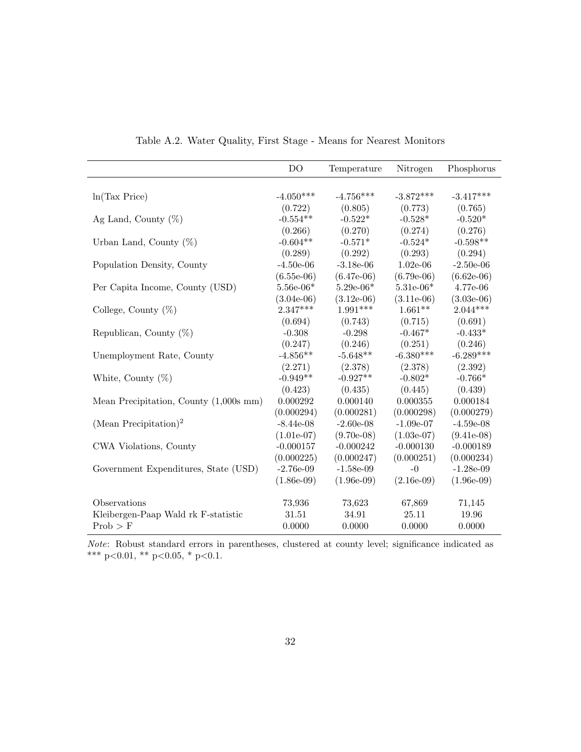<span id="page-31-0"></span>

|                                          | D <sub>O</sub> | Temperature   | Nitrogen      | Phosphorus    |
|------------------------------------------|----------------|---------------|---------------|---------------|
|                                          |                |               |               |               |
| ln(Tax Price)                            | $-4.050***$    | $-4.756***$   | $-3.872***$   | $-3.417***$   |
|                                          | (0.722)        | (0.805)       | (0.773)       | (0.765)       |
| Ag Land, County $(\%)$                   | $-0.554**$     | $-0.522*$     | $-0.528*$     | $-0.520*$     |
|                                          | (0.266)        | (0.270)       | (0.274)       | (0.276)       |
| Urban Land, County $(\%)$                | $-0.604**$     | $-0.571*$     | $-0.524*$     | $-0.598**$    |
|                                          | (0.289)        | (0.292)       | (0.293)       | (0.294)       |
| Population Density, County               | $-4.50e-06$    | $-3.18e-06$   | $1.02e-06$    | $-2.50e-06$   |
|                                          | $(6.55e-06)$   | $(6.47e-06)$  | $(6.79e-06)$  | $(6.62e-06)$  |
| Per Capita Income, County (USD)          | $5.56e-06*$    | $5.29e-06*$   | $5.31e-06*$   | 4.77e-06      |
|                                          | $(3.04e-06)$   | $(3.12e-06)$  | $(3.11e-06)$  | $(3.03e-06)$  |
| College, County $(\%)$                   | $2.347***$     | $1.991***$    | $1.661**$     | $2.044***$    |
|                                          | (0.694)        | (0.743)       | (0.715)       | (0.691)       |
| Republican, County $(\%)$                | $-0.308$       | $-0.298$      | $-0.467*$     | $-0.433*$     |
|                                          | (0.247)        | (0.246)       | (0.251)       | (0.246)       |
| Unemployment Rate, County                | $-4.856**$     | $-5.648**$    | $-6.380***$   | $-6.289***$   |
|                                          | (2.271)        | (2.378)       | (2.378)       | (2.392)       |
| White, County $(\%)$                     | $-0.949**$     | $-0.927**$    | $-0.802*$     | $-0.766*$     |
|                                          | (0.423)        | (0.435)       | (0.445)       | (0.439)       |
| Mean Precipitation, County $(1,000s$ mm) | 0.000292       | 0.000140      | 0.000355      | 0.000184      |
|                                          | (0.000294)     | (0.000281)    | (0.000298)    | (0.000279)    |
| (Mean Precipitation) <sup>2</sup>        | $-8.44e-08$    | $-2.60e-08$   | $-1.09e-07$   | $-4.59e-08$   |
|                                          | $(1.01e-07)$   | $(9.70e-08)$  | $(1.03e-07)$  | $(9.41e-08)$  |
| CWA Violations, County                   | $-0.000157$    | $-0.000242$   | $-0.000130$   | $-0.000189$   |
|                                          | (0.000225)     | (0.000247)    | (0.000251)    | (0.000234)    |
| Government Expenditures, State (USD)     | $-2.76e-09$    | $-1.58e-09$   | $-0$          | $-1.28e-09$   |
|                                          | $(1.86e-0.9)$  | $(1.96e-0.9)$ | $(2.16e-0.9)$ | $(1.96e-0.9)$ |
| Observations                             | 73,936         | 73,623        | 67,869        | 71,145        |
| Kleibergen-Paap Wald rk F-statistic      | 31.51          | 34.91         | 25.11         | 19.96         |
| $Prob$ > F                               | 0.0000         | 0.0000        | 0.0000        | 0.0000        |

Table A.2. Water Quality, First Stage - Means for Nearest Monitors

Note: Robust standard errors in parentheses, clustered at county level; significance indicated as \*\*\* p<0.01, \*\* p<0.05, \* p<0.1.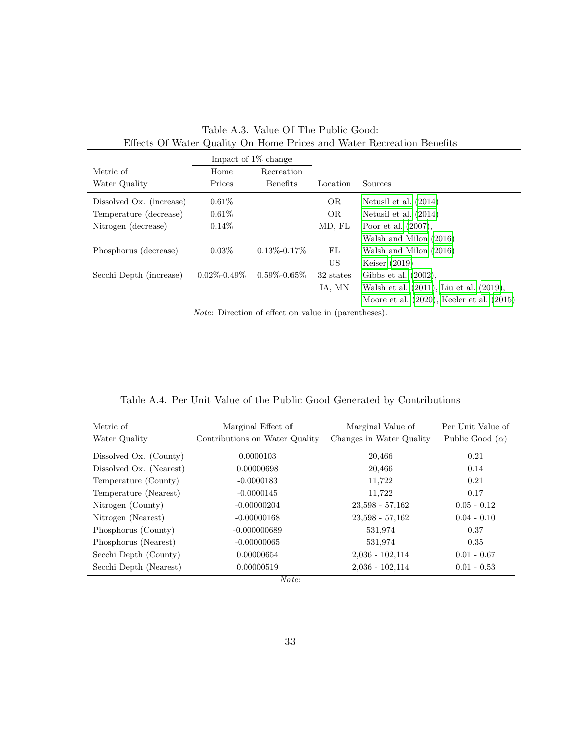<span id="page-32-0"></span>

|                          |                   | Impact of $1\%$ change |           |                                                |
|--------------------------|-------------------|------------------------|-----------|------------------------------------------------|
| Metric of                | Home              | Recreation             |           |                                                |
| Water Quality            | Prices            | Benefits               | Location  | Sources                                        |
| Dissolved Ox. (increase) | $0.61\%$          |                        | <b>OR</b> | Netusil et al. $(2014)$                        |
| Temperature (decrease)   | $0.61\%$          |                        | <b>OR</b> | Netusil et al. $(2014)$                        |
| Nitrogen (decrease)      | $0.14\%$          |                        | MD, FL    | Poor et al. $(2007)$ ,                         |
|                          |                   |                        |           | Walsh and Milon (2016)                         |
| Phosphorus (decrease)    | $0.03\%$          | $0.13\% - 0.17\%$      | FL        | Walsh and Milon (2016)                         |
|                          |                   |                        | US        | Keiser $(2019)$                                |
| Secchi Depth (increase)  | $0.02\% - 0.49\%$ | $0.59\% - 0.65\%$      | 32 states | Gibbs et al. $(2002)$ ,                        |
|                          |                   |                        | IA, MN    | Walsh et al. (2011), Liu et al. (2019),        |
|                          |                   |                        |           | Moore et al. $(2020)$ , Keeler et al. $(2015)$ |

|                                                                       | Table A.3. Value Of The Public Good: |  |  |  |
|-----------------------------------------------------------------------|--------------------------------------|--|--|--|
| Effects Of Water Quality On Home Prices and Water Recreation Benefits |                                      |  |  |  |

Note: Direction of effect on value in (parentheses).

|  |  |  |  |  |  |  |  |  | Table A.4. Per Unit Value of the Public Good Generated by Contributions |
|--|--|--|--|--|--|--|--|--|-------------------------------------------------------------------------|
|--|--|--|--|--|--|--|--|--|-------------------------------------------------------------------------|

<span id="page-32-1"></span>

| Metric of<br>Water Quality | Marginal Effect of<br>Contributions on Water Quality | Marginal Value of<br>Changes in Water Quality | Per Unit Value of<br>Public Good $(\alpha)$ |
|----------------------------|------------------------------------------------------|-----------------------------------------------|---------------------------------------------|
| Dissolved Ox. (County)     | 0.0000103                                            | 20,466                                        | 0.21                                        |
| Dissolved Ox. (Nearest)    | 0.00000698                                           | 20,466                                        | 0.14                                        |
| Temperature (County)       | $-0.0000183$                                         | 11,722                                        | 0.21                                        |
| Temperature (Nearest)      | $-0.0000145$                                         | 11,722                                        | 0.17                                        |
| Nitrogen (County)          | $-0.00000204$                                        | $23.598 - 57.162$                             | $0.05 - 0.12$                               |
| Nitrogen (Nearest)         | $-0.00000168$                                        | $23,598 - 57,162$                             | $0.04 - 0.10$                               |
| Phosphorus (County)        | $-0.000000689$                                       | 531,974                                       | 0.37                                        |
| Phosphorus (Nearest)       | $-0.00000065$                                        | 531,974                                       | 0.35                                        |
| Secchi Depth (County)      | 0.00000654                                           | $2,036 - 102,114$                             | $0.01 - 0.67$                               |
| Secchi Depth (Nearest)     | 0.00000519                                           | $2,036 - 102,114$                             | $0.01 - 0.53$                               |

Note: